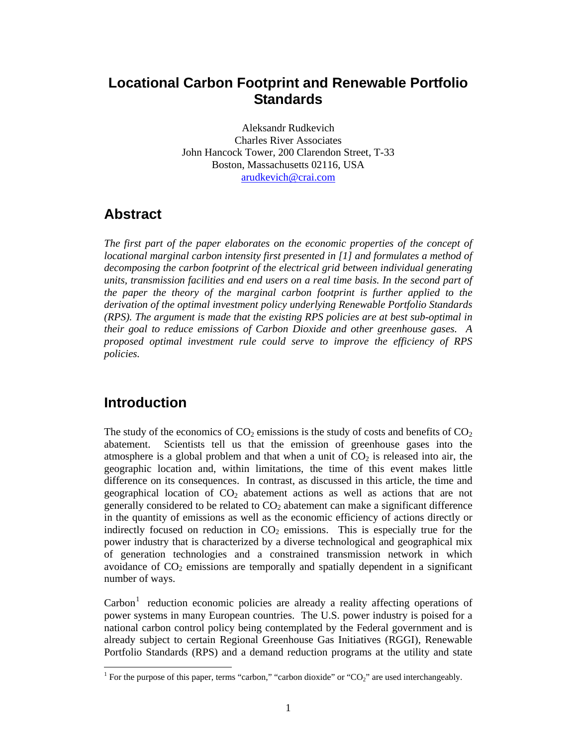# **Locational Carbon Footprint and Renewable Portfolio Standards**

Aleksandr Rudkevich Charles River Associates John Hancock Tower, 200 Clarendon Street, T-33 Boston, Massachusetts 02116, USA arudkevich@crai.com

# **Abstract**

*The first part of the paper elaborates on the economic properties of the concept of locational marginal carbon intensity first presented in [1] and formulates a method of decomposing the carbon footprint of the electrical grid between individual generating units, transmission facilities and end users on a real time basis. In the second part of the paper the theory of the marginal carbon footprint is further applied to the derivation of the optimal investment policy underlying Renewable Portfolio Standards (RPS). The argument is made that the existing RPS policies are at best sub-optimal in their goal to reduce emissions of Carbon Dioxide and other greenhouse gases. A proposed optimal investment rule could serve to improve the efficiency of RPS policies.* 

# **Introduction**

The study of the economics of  $CO<sub>2</sub>$  emissions is the study of costs and benefits of  $CO<sub>2</sub>$ abatement. Scientists tell us that the emission of greenhouse gases into the atmosphere is a global problem and that when a unit of  $CO<sub>2</sub>$  is released into air, the geographic location and, within limitations, the time of this event makes little difference on its consequences. In contrast, as discussed in this article, the time and geographical location of  $CO<sub>2</sub>$  abatement actions as well as actions that are not generally considered to be related to  $CO<sub>2</sub>$  abatement can make a significant difference in the quantity of emissions as well as the economic efficiency of actions directly or indirectly focused on reduction in  $CO<sub>2</sub>$  emissions. This is especially true for the power industry that is characterized by a diverse technological and geographical mix of generation technologies and a constrained transmission network in which avoidance of  $CO<sub>2</sub>$  emissions are temporally and spatially dependent in a significant number of ways.

 $\text{Carbon}^1$  reduction economic policies are already a reality affecting operations of power systems in many European countries. The U.S. power industry is poised for a national carbon control policy being contemplated by the Federal government and is already subject to certain Regional Greenhouse Gas Initiatives (RGGI), Renewable Portfolio Standards (RPS) and a demand reduction programs at the utility and state

<sup>&</sup>lt;sup>1</sup> For the purpose of this paper, terms "carbon," "carbon dioxide" or "CO<sub>2</sub>" are used interchangeably.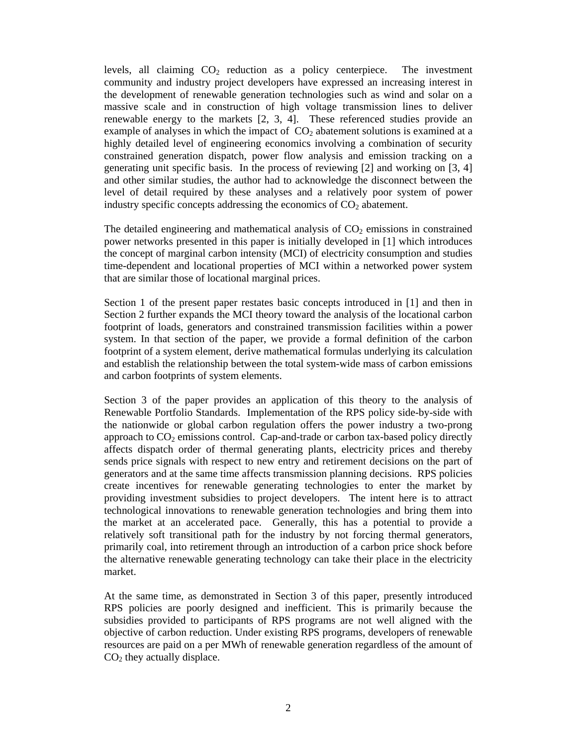levels, all claiming  $CO<sub>2</sub>$  reduction as a policy centerpiece. The investment community and industry project developers have expressed an increasing interest in the development of renewable generation technologies such as wind and solar on a massive scale and in construction of high voltage transmission lines to deliver renewable energy to the markets [2, 3, 4]. These referenced studies provide an example of analyses in which the impact of  $CO<sub>2</sub>$  abatement solutions is examined at a highly detailed level of engineering economics involving a combination of security constrained generation dispatch, power flow analysis and emission tracking on a generating unit specific basis. In the process of reviewing [2] and working on [3, 4] and other similar studies, the author had to acknowledge the disconnect between the level of detail required by these analyses and a relatively poor system of power industry specific concepts addressing the economics of  $CO<sub>2</sub>$  abatement.

The detailed engineering and mathematical analysis of  $CO<sub>2</sub>$  emissions in constrained power networks presented in this paper is initially developed in [1] which introduces the concept of marginal carbon intensity (MCI) of electricity consumption and studies time-dependent and locational properties of MCI within a networked power system that are similar those of locational marginal prices.

Section 1 of the present paper restates basic concepts introduced in [1] and then in Section 2 further expands the MCI theory toward the analysis of the locational carbon footprint of loads, generators and constrained transmission facilities within a power system. In that section of the paper, we provide a formal definition of the carbon footprint of a system element, derive mathematical formulas underlying its calculation and establish the relationship between the total system-wide mass of carbon emissions and carbon footprints of system elements.

Section 3 of the paper provides an application of this theory to the analysis of Renewable Portfolio Standards. Implementation of the RPS policy side-by-side with the nationwide or global carbon regulation offers the power industry a two-prong approach to  $CO<sub>2</sub>$  emissions control. Cap-and-trade or carbon tax-based policy directly affects dispatch order of thermal generating plants, electricity prices and thereby sends price signals with respect to new entry and retirement decisions on the part of generators and at the same time affects transmission planning decisions. RPS policies create incentives for renewable generating technologies to enter the market by providing investment subsidies to project developers. The intent here is to attract technological innovations to renewable generation technologies and bring them into the market at an accelerated pace. Generally, this has a potential to provide a relatively soft transitional path for the industry by not forcing thermal generators, primarily coal, into retirement through an introduction of a carbon price shock before the alternative renewable generating technology can take their place in the electricity market.

At the same time, as demonstrated in Section 3 of this paper, presently introduced RPS policies are poorly designed and inefficient. This is primarily because the subsidies provided to participants of RPS programs are not well aligned with the objective of carbon reduction. Under existing RPS programs, developers of renewable resources are paid on a per MWh of renewable generation regardless of the amount of  $CO<sub>2</sub>$  they actually displace.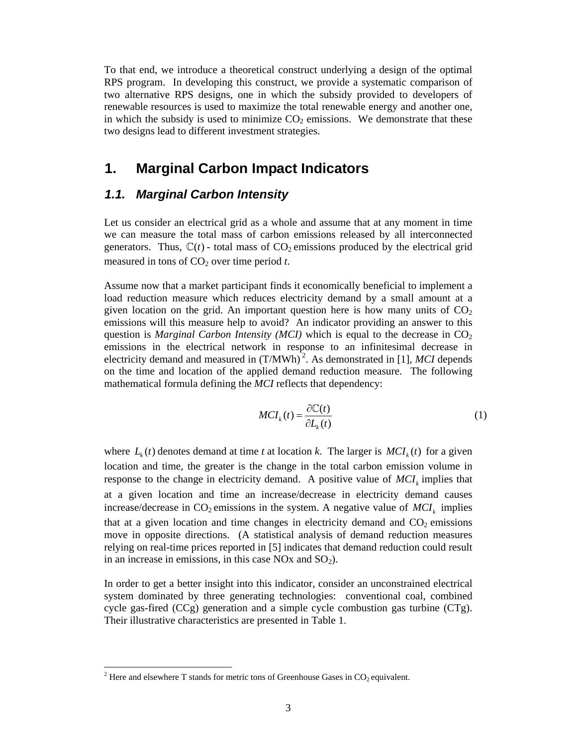To that end, we introduce a theoretical construct underlying a design of the optimal RPS program. In developing this construct, we provide a systematic comparison of two alternative RPS designs, one in which the subsidy provided to developers of renewable resources is used to maximize the total renewable energy and another one, in which the subsidy is used to minimize  $CO<sub>2</sub>$  emissions. We demonstrate that these two designs lead to different investment strategies.

## **1. Marginal Carbon Impact Indicators**

### *1.1. Marginal Carbon Intensity*

Let us consider an electrical grid as a whole and assume that at any moment in time we can measure the total mass of carbon emissions released by all interconnected generators. Thus,  $\mathbb{C}(t)$  - total mass of CO<sub>2</sub> emissions produced by the electrical grid measured in tons of  $CO<sub>2</sub>$  over time period *t*.

Assume now that a market participant finds it economically beneficial to implement a load reduction measure which reduces electricity demand by a small amount at a given location on the grid. An important question here is how many units of  $CO<sub>2</sub>$ emissions will this measure help to avoid? An indicator providing an answer to this question is *Marginal Carbon Intensity (MCI)* which is equal to the decrease in  $CO<sub>2</sub>$ emissions in the electrical network in response to an infinitesimal decrease in electricity demand and measured in  $(T/MWh)^2$ . As demonstrated in [1], *MCI* depends on the time and location of the applied demand reduction measure. The following mathematical formula defining the *MCI* reflects that dependency:

$$
MCI_{k}(t) = \frac{\partial \mathbb{C}(t)}{\partial L_{k}(t)}
$$
(1)

where  $L_{\nu}(t)$  denotes demand at time *t* at location *k*. The larger is  $MCI_{\nu}(t)$  for a given location and time, the greater is the change in the total carbon emission volume in response to the change in electricity demand. A positive value of  $MCI_k$  implies that at a given location and time an increase/decrease in electricity demand causes increase/decrease in  $CO_2$  emissions in the system. A negative value of  $MCI_k$  implies that at a given location and time changes in electricity demand and  $CO<sub>2</sub>$  emissions move in opposite directions. (A statistical analysis of demand reduction measures relying on real-time prices reported in [5] indicates that demand reduction could result in an increase in emissions, in this case  $NOx$  and  $SO<sub>2</sub>$ ).

In order to get a better insight into this indicator, consider an unconstrained electrical system dominated by three generating technologies: conventional coal, combined cycle gas-fired  $(CCg)$  generation and a simple cycle combustion gas turbine  $(CTg)$ . Their illustrative characteristics are presented in Table 1.

 $\overline{a}$ 

<sup>&</sup>lt;sup>2</sup> Here and elsewhere T stands for metric tons of Greenhouse Gases in  $CO_2$  equivalent.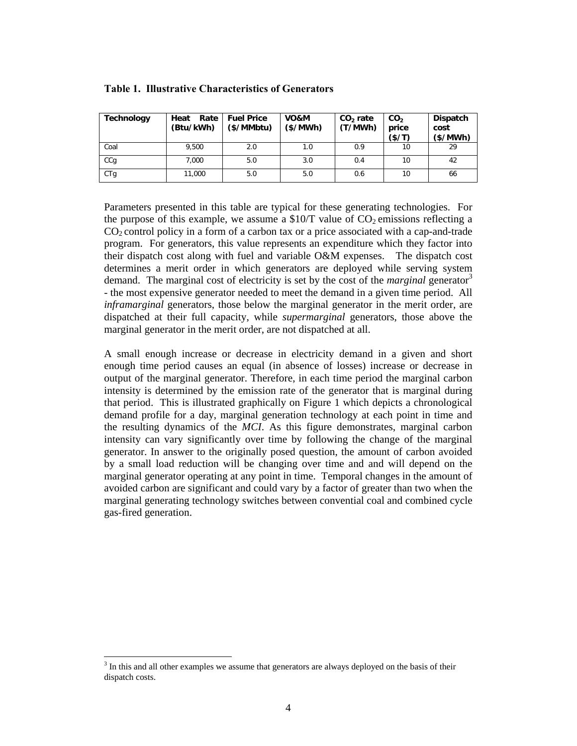| <b>Technology</b> | Rate<br>Heat<br>(Btu/kWh) | <b>Fuel Price</b><br>(\$/MMbtu) | VO&M<br>$(\frac{2}{3}/MWh)$ | $CO2$ rate<br>(T/MWh) | CO <sub>2</sub><br>price<br>(\$/T) | <b>Dispatch</b><br>cost<br>(S/MWh) |
|-------------------|---------------------------|---------------------------------|-----------------------------|-----------------------|------------------------------------|------------------------------------|
| Coal              | 9.500                     | 2.0                             | 1.0                         | 0.9                   | 10                                 | 29                                 |
| CCq               | 7.000                     | 5.0                             | 3.0                         | 0.4                   | 10                                 | 42                                 |
| CTg               | 11,000                    | 5.0                             | 5.0                         | 0.6                   | 10                                 | 66                                 |

**Table 1. Illustrative Characteristics of Generators** 

Parameters presented in this table are typical for these generating technologies. For the purpose of this example, we assume a  $$10/T$  value of CO<sub>2</sub> emissions reflecting a  $CO<sub>2</sub>$  control policy in a form of a carbon tax or a price associated with a cap-and-trade program. For generators, this value represents an expenditure which they factor into their dispatch cost along with fuel and variable O&M expenses. The dispatch cost determines a merit order in which generators are deployed while serving system demand. The marginal cost of electricity is set by the cost of the *marginal* generator<sup>3</sup> - the most expensive generator needed to meet the demand in a given time period. All *inframarginal* generators, those below the marginal generator in the merit order, are dispatched at their full capacity, while *supermarginal* generators, those above the marginal generator in the merit order, are not dispatched at all.

A small enough increase or decrease in electricity demand in a given and short enough time period causes an equal (in absence of losses) increase or decrease in output of the marginal generator. Therefore, in each time period the marginal carbon intensity is determined by the emission rate of the generator that is marginal during that period. This is illustrated graphically on Figure 1 which depicts a chronological demand profile for a day, marginal generation technology at each point in time and the resulting dynamics of the *MCI*. As this figure demonstrates, marginal carbon intensity can vary significantly over time by following the change of the marginal generator. In answer to the originally posed question, the amount of carbon avoided by a small load reduction will be changing over time and and will depend on the marginal generator operating at any point in time. Temporal changes in the amount of avoided carbon are significant and could vary by a factor of greater than two when the marginal generating technology switches between convential coal and combined cycle gas-fired generation.

 $\overline{a}$ 

<sup>&</sup>lt;sup>3</sup> In this and all other examples we assume that generators are always deployed on the basis of their dispatch costs.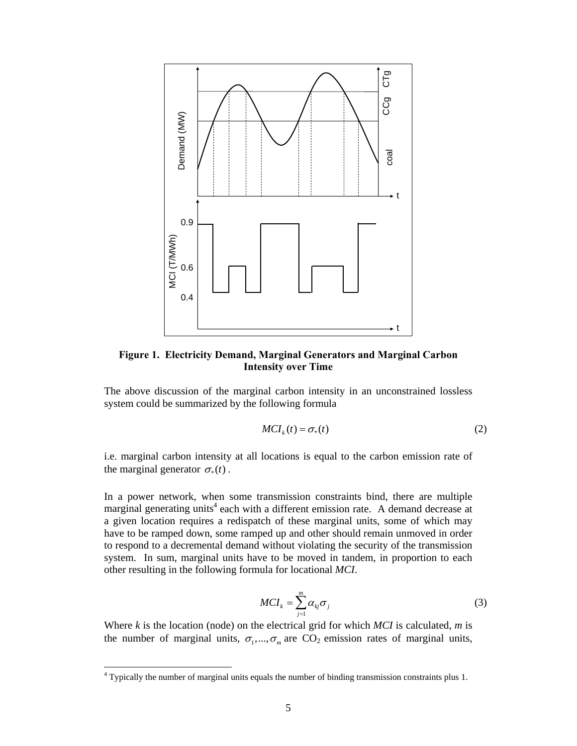

**Figure 1. Electricity Demand, Marginal Generators and Marginal Carbon Intensity over Time** 

The above discussion of the marginal carbon intensity in an unconstrained lossless system could be summarized by the following formula

$$
MCI_{k}(t) = \sigma_{*}(t) \tag{2}
$$

i.e. marginal carbon intensity at all locations is equal to the carbon emission rate of the marginal generator  $\sigma_*(t)$ .

In a power network, when some transmission constraints bind, there are multiple marginal generating units<sup>4</sup> each with a different emission rate. A demand decrease at a given location requires a redispatch of these marginal units, some of which may have to be ramped down, some ramped up and other should remain unmoved in order to respond to a decremental demand without violating the security of the transmission system. In sum, marginal units have to be moved in tandem, in proportion to each other resulting in the following formula for locational *MCI*.

$$
MCI_k = \sum_{j=1}^{m} \alpha_{kj} \sigma_j
$$
 (3)

Where *k* is the location (node) on the electrical grid for which *MCI* is calculated, *m* is the number of marginal units,  $\sigma_1, ..., \sigma_m$  are CO<sub>2</sub> emission rates of marginal units,

 4 Typically the number of marginal units equals the number of binding transmission constraints plus 1.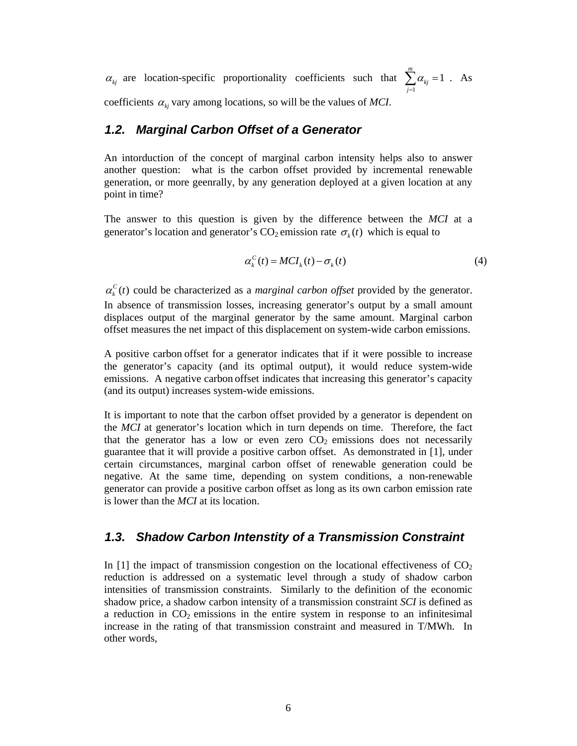$\alpha_{kj}$  are location-specific proportionality coefficients such that  $\sum_{j=1}^{m} \alpha_{kj} = 1$  $\sum \alpha_{kj} = 1$  . As *j* = coefficients  $\alpha_{kj}$  vary among locations, so will be the values of *MCI*.

### *1.2. Marginal Carbon Offset of a Generator*

An intorduction of the concept of marginal carbon intensity helps also to answer another question: what is the carbon offset provided by incremental renewable generation, or more geenrally, by any generation deployed at a given location at any point in time?

The answer to this question is given by the difference between the *MCI* at a generator's location and generator's CO<sub>2</sub> emission rate  $\sigma_k(t)$  which is equal to

$$
\alpha_k^C(t) = MCI_k(t) - \sigma_k(t) \tag{4}
$$

 $\alpha_k^c(t)$  could be characterized as a *marginal carbon offset* provided by the generator. In absence of transmission losses, increasing generator's output by a small amount displaces output of the marginal generator by the same amount. Marginal carbon offset measures the net impact of this displacement on system-wide carbon emissions.

A positive carbon offset for a generator indicates that if it were possible to increase the generator's capacity (and its optimal output), it would reduce system-wide emissions. A negative carbon offset indicates that increasing this generator's capacity (and its output) increases system-wide emissions.

It is important to note that the carbon offset provided by a generator is dependent on the *MCI* at generator's location which in turn depends on time. Therefore, the fact that the generator has a low or even zero  $CO<sub>2</sub>$  emissions does not necessarily guarantee that it will provide a positive carbon offset. As demonstrated in [1], under certain circumstances, marginal carbon offset of renewable generation could be negative. At the same time, depending on system conditions, a non-renewable generator can provide a positive carbon offset as long as its own carbon emission rate is lower than the *MCI* at its location.

### *1.3. Shadow Carbon Intenstity of a Transmission Constraint*

In [1] the impact of transmission congestion on the locational effectiveness of  $CO<sub>2</sub>$ reduction is addressed on a systematic level through a study of shadow carbon intensities of transmission constraints. Similarly to the definition of the economic shadow price, a shadow carbon intensity of a transmission constraint *SCI* is defined as a reduction in  $CO<sub>2</sub>$  emissions in the entire system in response to an infinitesimal increase in the rating of that transmission constraint and measured in T/MWh. In other words,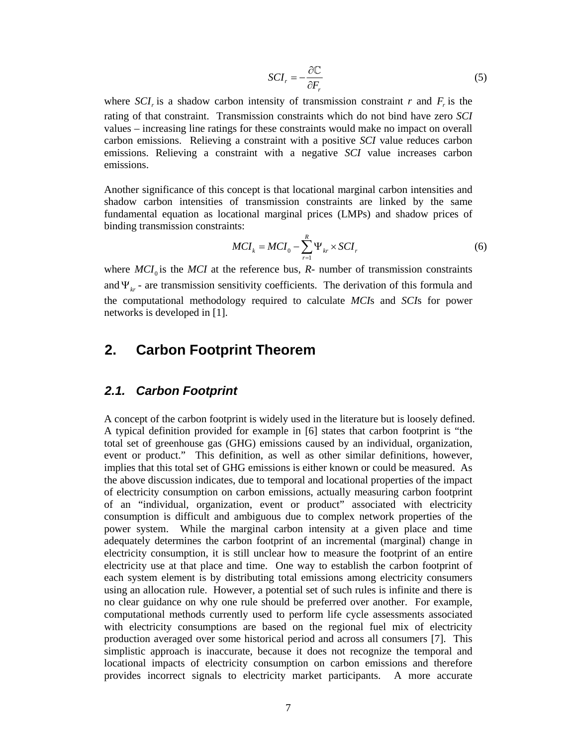$$
SCI_r = -\frac{\partial \mathbb{C}}{\partial F_r} \tag{5}
$$

where  $\mathcal{S}CI<sub>r</sub>$  is a shadow carbon intensity of transmission constraint *r* and  $F<sub>r</sub>$  is the rating of that constraint. Transmission constraints which do not bind have zero *SCI* values – increasing line ratings for these constraints would make no impact on overall carbon emissions. Relieving a constraint with a positive *SCI* value reduces carbon emissions. Relieving a constraint with a negative *SCI* value increases carbon emissions.

Another significance of this concept is that locational marginal carbon intensities and shadow carbon intensities of transmission constraints are linked by the same fundamental equation as locational marginal prices (LMPs) and shadow prices of binding transmission constraints:

$$
MCI_{k} = MCI_{0} - \sum_{r=1}^{R} \Psi_{kr} \times SCI_{r}
$$
 (6)

where  $MCI_0$  is the MCI at the reference bus, *R*- number of transmission constraints and  $\Psi_{kr}$  - are transmission sensitivity coefficients. The derivation of this formula and the computational methodology required to calculate *MCI*s and *SCI*s for power networks is developed in [1].

## **2. Carbon Footprint Theorem**

### *2.1. Carbon Footprint*

A concept of the carbon footprint is widely used in the literature but is loosely defined. A typical definition provided for example in [6] states that carbon footprint is "the total set of greenhouse gas (GHG) emissions caused by an individual, organization, event or product." This definition, as well as other similar definitions, however, implies that this total set of GHG emissions is either known or could be measured. As the above discussion indicates, due to temporal and locational properties of the impact of electricity consumption on carbon emissions, actually measuring carbon footprint of an "individual, organization, event or product" associated with electricity consumption is difficult and ambiguous due to complex network properties of the power system. While the marginal carbon intensity at a given place and time adequately determines the carbon footprint of an incremental (marginal) change in electricity consumption, it is still unclear how to measure the footprint of an entire electricity use at that place and time. One way to establish the carbon footprint of each system element is by distributing total emissions among electricity consumers using an allocation rule. However, a potential set of such rules is infinite and there is no clear guidance on why one rule should be preferred over another. For example, computational methods currently used to perform life cycle assessments associated with electricity consumptions are based on the regional fuel mix of electricity production averaged over some historical period and across all consumers [7]. This simplistic approach is inaccurate, because it does not recognize the temporal and locational impacts of electricity consumption on carbon emissions and therefore provides incorrect signals to electricity market participants. A more accurate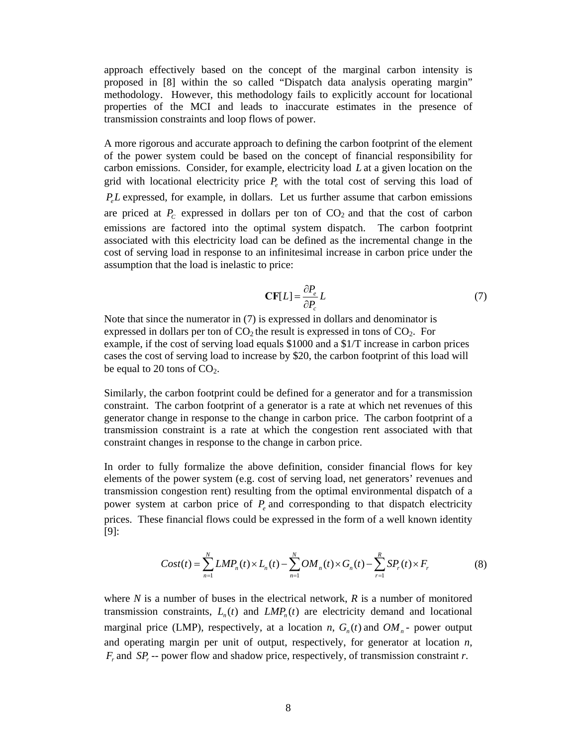approach effectively based on the concept of the marginal carbon intensity is proposed in [8] within the so called "Dispatch data analysis operating margin" methodology. However, this methodology fails to explicitly account for locational properties of the MCI and leads to inaccurate estimates in the presence of transmission constraints and loop flows of power.

A more rigorous and accurate approach to defining the carbon footprint of the element of the power system could be based on the concept of financial responsibility for carbon emissions. Consider, for example, electricity load *L* at a given location on the grid with locational electricity price  $P_{\rho}$  with the total cost of serving this load of *P<sub>e</sub>L* expressed, for example, in dollars. Let us further assume that carbon emissions are priced at  $P_c$  expressed in dollars per ton of  $CO_2$  and that the cost of carbon emissions are factored into the optimal system dispatch. The carbon footprint associated with this electricity load can be defined as the incremental change in the cost of serving load in response to an infinitesimal increase in carbon price under the assumption that the load is inelastic to price:

$$
\mathbf{CF}[L] = \frac{\partial P_e}{\partial P_c} L \tag{7}
$$

Note that since the numerator in (7) is expressed in dollars and denominator is expressed in dollars per ton of  $CO<sub>2</sub>$  the result is expressed in tons of  $CO<sub>2</sub>$ . For example, if the cost of serving load equals \$1000 and a \$1/T increase in carbon prices cases the cost of serving load to increase by \$20, the carbon footprint of this load will be equal to 20 tons of  $CO<sub>2</sub>$ .

Similarly, the carbon footprint could be defined for a generator and for a transmission constraint. The carbon footprint of a generator is a rate at which net revenues of this generator change in response to the change in carbon price. The carbon footprint of a transmission constraint is a rate at which the congestion rent associated with that constraint changes in response to the change in carbon price.

In order to fully formalize the above definition, consider financial flows for key elements of the power system (e.g. cost of serving load, net generators' revenues and transmission congestion rent) resulting from the optimal environmental dispatch of a power system at carbon price of  $P_e$  and corresponding to that dispatch electricity prices. These financial flows could be expressed in the form of a well known identity [9]:

$$
Cost(t) = \sum_{n=1}^{N} LMP_n(t) \times L_n(t) - \sum_{n=1}^{N} OM_n(t) \times G_n(t) - \sum_{r=1}^{R} SP_r(t) \times F_r
$$
 (8)

where *N* is a number of buses in the electrical network, *R* is a number of monitored transmission constraints,  $L_n(t)$  and  $LMP_n(t)$  are electricity demand and locational marginal price (LMP), respectively, at a location *n*,  $G_n(t)$  and  $OM_n$ - power output and operating margin per unit of output, respectively, for generator at location *n*,  $F_r$  and  $SP_r$  -- power flow and shadow price, respectively, of transmission constraint *r*.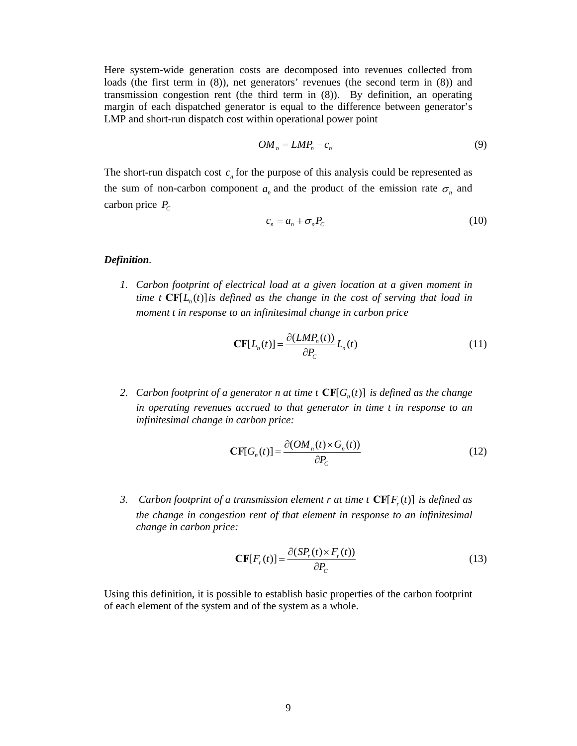Here system-wide generation costs are decomposed into revenues collected from loads (the first term in (8)), net generators' revenues (the second term in (8)) and transmission congestion rent (the third term in (8)). By definition, an operating margin of each dispatched generator is equal to the difference between generator's LMP and short-run dispatch cost within operational power point

$$
OM_n = LMP_n - c_n \tag{9}
$$

The short-run dispatch cost  $c_n$  for the purpose of this analysis could be represented as the sum of non-carbon component  $a_n$  and the product of the emission rate  $\sigma_n$  and carbon price  $P_C$ 

$$
c_n = a_n + \sigma_n P_c \tag{10}
$$

#### *Definition.*

*1. Carbon footprint of electrical load at a given location at a given moment in time t*  $CF[L_n(t)]$  *is defined as the change in the cost of serving that load in moment t in response to an infinitesimal change in carbon price* 

$$
\mathbf{CF}[L_n(t)] = \frac{\partial (LMP_n(t))}{\partial P_C} L_n(t) \tag{11}
$$

*2. Carbon footprint of a generator n at time t*  $CF[G_n(t)]$  *is defined as the change in operating revenues accrued to that generator in time t in response to an infinitesimal change in carbon price:* 

$$
\mathbf{CF}[G_n(t)] = \frac{\partial (OM_n(t) \times G_n(t))}{\partial P_C}
$$
\n(12)

*3.* Carbon footprint of a transmission element r at time t  $CF[F_r(t)]$  is defined as *the change in congestion rent of that element in response to an infinitesimal change in carbon price:* 

$$
\mathbf{CF}[F_r(t)] = \frac{\partial (SP_r(t) \times F_r(t))}{\partial P_c}
$$
\n(13)

Using this definition, it is possible to establish basic properties of the carbon footprint of each element of the system and of the system as a whole.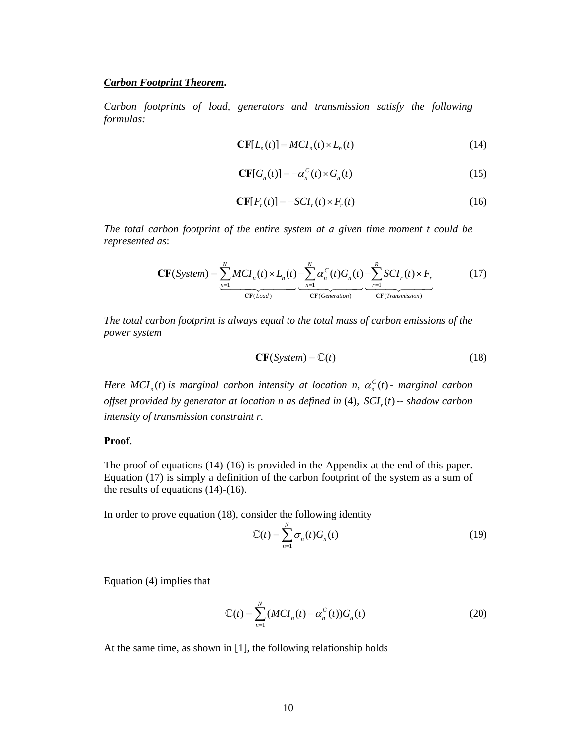#### *Carbon Footprint Theorem***.**

*Carbon footprints of load, generators and transmission satisfy the following formulas:* 

$$
\mathbf{CF}[L_n(t)] = MCI_n(t) \times L_n(t) \tag{14}
$$

$$
\mathbf{CF}[G_n(t)] = -\alpha_n^C(t) \times G_n(t) \tag{15}
$$

$$
\mathbf{CF}[F_r(t)] = -\mathbf{SCI}_r(t) \times F_r(t) \tag{16}
$$

*The total carbon footprint of the entire system at a given time moment t could be represented as*:

$$
\mathbf{CF}(System) = \underbrace{\sum_{n=1}^{N} MCI_n(t) \times L_n(t)}_{\mathbf{CF}(Load)} - \underbrace{\sum_{n=1}^{N} \alpha_n^C(t) G_n(t)}_{\mathbf{CF}(Generalion)} - \underbrace{\sum_{r=1}^{R} SCI_r(t) \times F_r}_{\mathbf{CF}(Transmission)}
$$
(17)

*The total carbon footprint is always equal to the total mass of carbon emissions of the power system* 

$$
CF(System) = \mathbb{C}(t)
$$
 (18)

*Here MCI*<sub>*n</sub>*(*t*) is marginal carbon intensity at location n,  $\alpha_n^C(t)$  - marginal carbon</sub> *offset provided by generator at location n as defined in* (4),  $\sum f_i(t)$  -- *shadow carbon intensity of transmission constraint r.* 

#### **Proof**.

The proof of equations (14)-(16) is provided in the Appendix at the end of this paper. Equation (17) is simply a definition of the carbon footprint of the system as a sum of the results of equations (14)-(16).

In order to prove equation (18), consider the following identity

$$
\mathbb{C}(t) = \sum_{n=1}^{N} \sigma_n(t) G_n(t) \tag{19}
$$

Equation (4) implies that

$$
\mathbb{C}(t) = \sum_{n=1}^{N} (MCI_n(t) - \alpha_n^C(t))G_n(t)
$$
\n(20)

At the same time, as shown in [1], the following relationship holds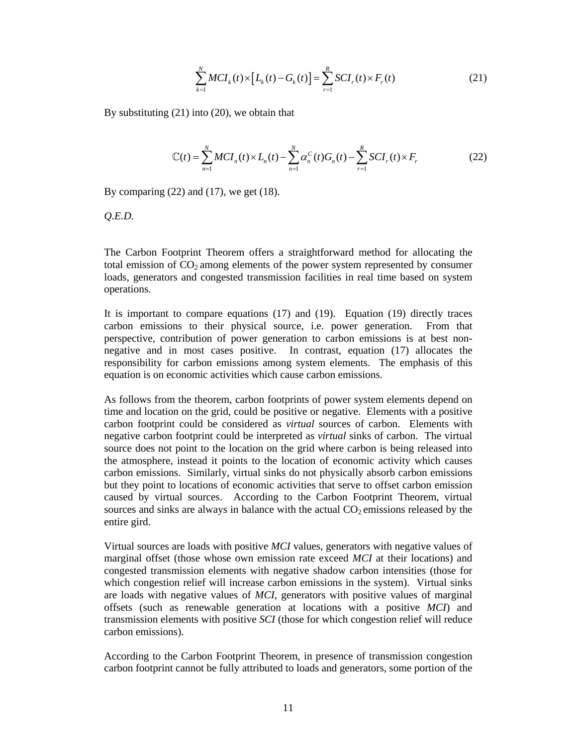$$
\sum_{k=1}^{N} MCI_{k}(t) \times [L_{k}(t) - G_{k}(t)] = \sum_{r=1}^{R} SCI_{r}(t) \times F_{r}(t)
$$
\n(21)

By substituting (21) into (20), we obtain that

$$
\mathbb{C}(t) = \sum_{n=1}^{N} MCI_n(t) \times L_n(t) - \sum_{n=1}^{N} \alpha_n^{C}(t) G_n(t) - \sum_{r=1}^{R} SCI_r(t) \times F_r
$$
 (22)

By comparing  $(22)$  and  $(17)$ , we get  $(18)$ .

*Q.E.D.* 

The Carbon Footprint Theorem offers a straightforward method for allocating the total emission of  $CO<sub>2</sub>$  among elements of the power system represented by consumer loads, generators and congested transmission facilities in real time based on system operations.

It is important to compare equations (17) and (19). Equation (19) directly traces carbon emissions to their physical source, i.e. power generation. From that perspective, contribution of power generation to carbon emissions is at best nonnegative and in most cases positive. In contrast, equation (17) allocates the responsibility for carbon emissions among system elements. The emphasis of this equation is on economic activities which cause carbon emissions.

As follows from the theorem, carbon footprints of power system elements depend on time and location on the grid, could be positive or negative. Elements with a positive carbon footprint could be considered as *virtual* sources of carbon. Elements with negative carbon footprint could be interpreted as *virtual* sinks of carbon. The virtual source does not point to the location on the grid where carbon is being released into the atmosphere, instead it points to the location of economic activity which causes carbon emissions. Similarly, virtual sinks do not physically absorb carbon emissions but they point to locations of economic activities that serve to offset carbon emission caused by virtual sources. According to the Carbon Footprint Theorem, virtual sources and sinks are always in balance with the actual  $CO<sub>2</sub>$  emissions released by the entire gird.

Virtual sources are loads with positive *MCI* values, generators with negative values of marginal offset (those whose own emission rate exceed *MCI* at their locations) and congested transmission elements with negative shadow carbon intensities (those for which congestion relief will increase carbon emissions in the system). Virtual sinks are loads with negative values of *MCI*, generators with positive values of marginal offsets (such as renewable generation at locations with a positive *MCI*) and transmission elements with positive *SCI* (those for which congestion relief will reduce carbon emissions).

According to the Carbon Footprint Theorem, in presence of transmission congestion carbon footprint cannot be fully attributed to loads and generators, some portion of the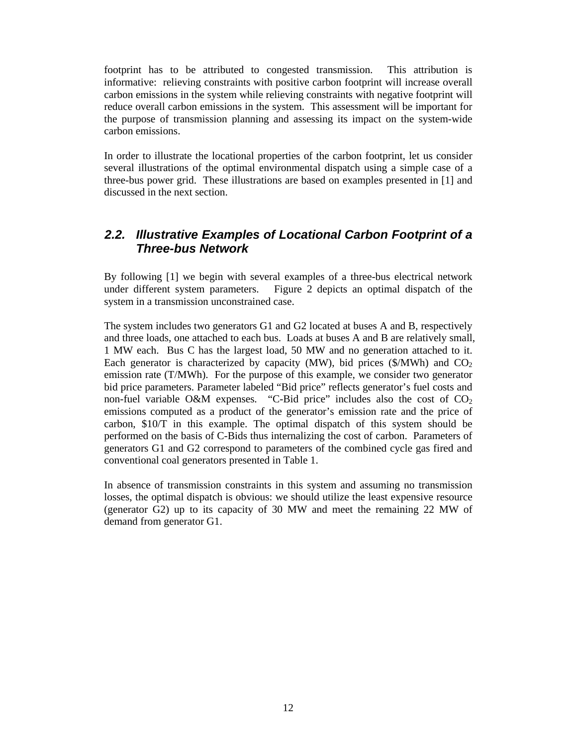footprint has to be attributed to congested transmission. This attribution is informative: relieving constraints with positive carbon footprint will increase overall carbon emissions in the system while relieving constraints with negative footprint will reduce overall carbon emissions in the system. This assessment will be important for the purpose of transmission planning and assessing its impact on the system-wide carbon emissions.

In order to illustrate the locational properties of the carbon footprint, let us consider several illustrations of the optimal environmental dispatch using a simple case of a three-bus power grid. These illustrations are based on examples presented in [1] and discussed in the next section.

## *2.2. Illustrative Examples of Locational Carbon Footprint of a Three-bus Network*

By following [1] we begin with several examples of a three-bus electrical network under different system parameters. Figure 2 depicts an optimal dispatch of the system in a transmission unconstrained case.

The system includes two generators G1 and G2 located at buses A and B, respectively and three loads, one attached to each bus. Loads at buses A and B are relatively small, 1 MW each. Bus C has the largest load, 50 MW and no generation attached to it. Each generator is characterized by capacity (MW), bid prices (\$/MWh) and  $CO<sub>2</sub>$ emission rate (T/MWh). For the purpose of this example, we consider two generator bid price parameters. Parameter labeled "Bid price" reflects generator's fuel costs and non-fuel variable O&M expenses. "C-Bid price" includes also the cost of  $CO<sub>2</sub>$ emissions computed as a product of the generator's emission rate and the price of carbon, \$10/T in this example. The optimal dispatch of this system should be performed on the basis of C-Bids thus internalizing the cost of carbon. Parameters of generators G1 and G2 correspond to parameters of the combined cycle gas fired and conventional coal generators presented in Table 1.

In absence of transmission constraints in this system and assuming no transmission losses, the optimal dispatch is obvious: we should utilize the least expensive resource (generator G2) up to its capacity of 30 MW and meet the remaining 22 MW of demand from generator G1.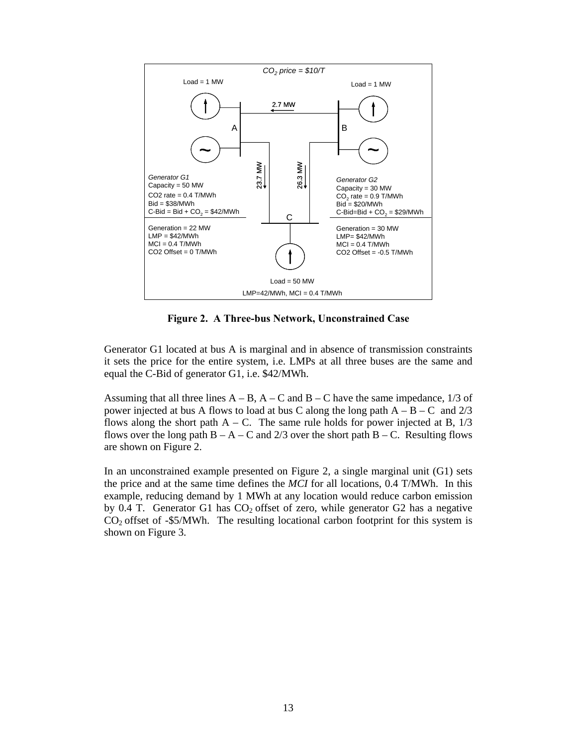

**Figure 2. A Three-bus Network, Unconstrained Case** 

Generator G1 located at bus A is marginal and in absence of transmission constraints it sets the price for the entire system, i.e. LMPs at all three buses are the same and equal the C-Bid of generator G1, i.e. \$42/MWh.

Assuming that all three lines  $A - B$ ,  $A - C$  and  $B - C$  have the same impedance, 1/3 of power injected at bus A flows to load at bus C along the long path  $A - B - C$  and 2/3 flows along the short path  $A - C$ . The same rule holds for power injected at B,  $1/3$ flows over the long path  $B - A - C$  and 2/3 over the short path  $B - C$ . Resulting flows are shown on Figure 2.

In an unconstrained example presented on Figure 2, a single marginal unit (G1) sets the price and at the same time defines the *MCI* for all locations, 0.4 T/MWh. In this example, reducing demand by 1 MWh at any location would reduce carbon emission by 0.4 T. Generator G1 has  $CO<sub>2</sub>$  offset of zero, while generator G2 has a negative  $CO<sub>2</sub>$  offset of -\$5/MWh. The resulting locational carbon footprint for this system is shown on Figure 3.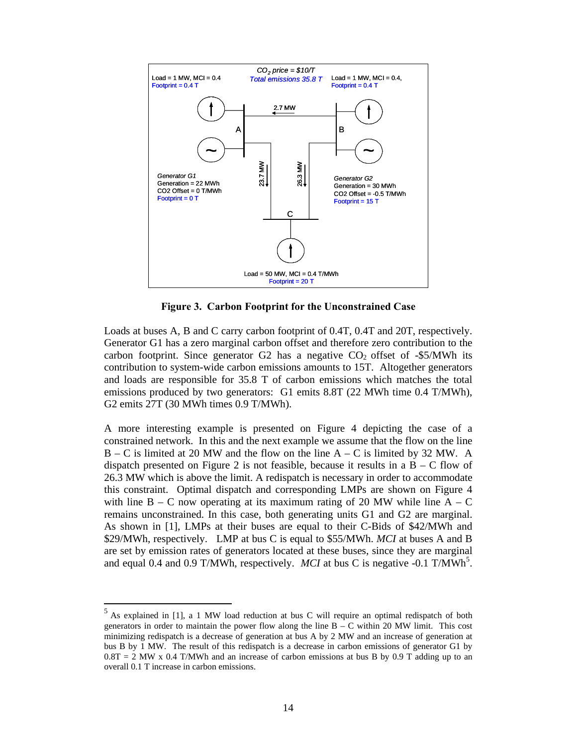

**Figure 3. Carbon Footprint for the Unconstrained Case** 

Loads at buses A, B and C carry carbon footprint of 0.4T, 0.4T and 20T, respectively. Generator G1 has a zero marginal carbon offset and therefore zero contribution to the carbon footprint. Since generator G2 has a negative  $CO<sub>2</sub>$  offset of -\$5/MWh its contribution to system-wide carbon emissions amounts to 15T. Altogether generators and loads are responsible for 35.8 T of carbon emissions which matches the total emissions produced by two generators: G1 emits 8.8T (22 MWh time 0.4 T/MWh), G2 emits 27T (30 MWh times 0.9 T/MWh).

A more interesting example is presented on Figure 4 depicting the case of a constrained network. In this and the next example we assume that the flow on the line  $B - C$  is limited at 20 MW and the flow on the line  $A - C$  is limited by 32 MW. A dispatch presented on Figure 2 is not feasible, because it results in a  $B - C$  flow of 26.3 MW which is above the limit. A redispatch is necessary in order to accommodate this constraint. Optimal dispatch and corresponding LMPs are shown on Figure 4 with line  $B - C$  now operating at its maximum rating of 20 MW while line  $A - C$ remains unconstrained. In this case, both generating units G1 and G2 are marginal. As shown in [1], LMPs at their buses are equal to their C-Bids of \$42/MWh and \$29/MWh, respectively. LMP at bus C is equal to \$55/MWh. *MCI* at buses A and B are set by emission rates of generators located at these buses, since they are marginal and equal 0.4 and 0.9 T/MWh, respectively. *MCI* at bus C is negative -0.1 T/MWh<sup>5</sup>.

 $\overline{a}$ 

 $<sup>5</sup>$  As explained in [1], a 1 MW load reduction at bus C will require an optimal redispatch of both</sup> generators in order to maintain the power flow along the line  $B - C$  within 20 MW limit. This cost minimizing redispatch is a decrease of generation at bus A by 2 MW and an increase of generation at bus B by 1 MW. The result of this redispatch is a decrease in carbon emissions of generator G1 by  $0.8T = 2$  MW x 0.4 T/MWh and an increase of carbon emissions at bus B by 0.9 T adding up to an overall 0.1 T increase in carbon emissions.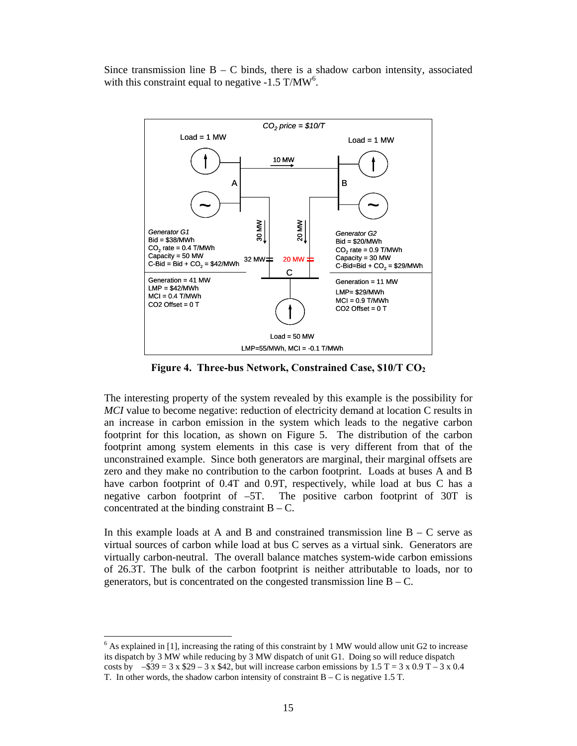Since transmission line  $B - C$  binds, there is a shadow carbon intensity, associated with this constraint equal to negative  $-1.5$  T/MW<sup>6</sup>.



**Figure 4. Three-bus Network, Constrained Case, \$10/T CO2** 

The interesting property of the system revealed by this example is the possibility for *MCI* value to become negative: reduction of electricity demand at location C results in an increase in carbon emission in the system which leads to the negative carbon footprint for this location, as shown on Figure 5. The distribution of the carbon footprint among system elements in this case is very different from that of the unconstrained example. Since both generators are marginal, their marginal offsets are zero and they make no contribution to the carbon footprint. Loads at buses A and B have carbon footprint of 0.4T and 0.9T, respectively, while load at bus C has a negative carbon footprint of –5T. The positive carbon footprint of 30T is concentrated at the binding constraint  $B - C$ .

In this example loads at A and B and constrained transmission line  $B - C$  serve as virtual sources of carbon while load at bus C serves as a virtual sink. Generators are virtually carbon-neutral. The overall balance matches system-wide carbon emissions of 26.3T. The bulk of the carbon footprint is neither attributable to loads, nor to generators, but is concentrated on the congested transmission line  $B - C$ .

 $\overline{a}$ 

 $6$  As explained in [1], increasing the rating of this constraint by 1 MW would allow unit G2 to increase its dispatch by 3 MW while reducing by 3 MW dispatch of unit G1. Doing so will reduce dispatch costs by  $-$ \$39 = 3 x \$29 – 3 x \$42, but will increase carbon emissions by 1.5 T = 3 x 0.9 T – 3 x 0.4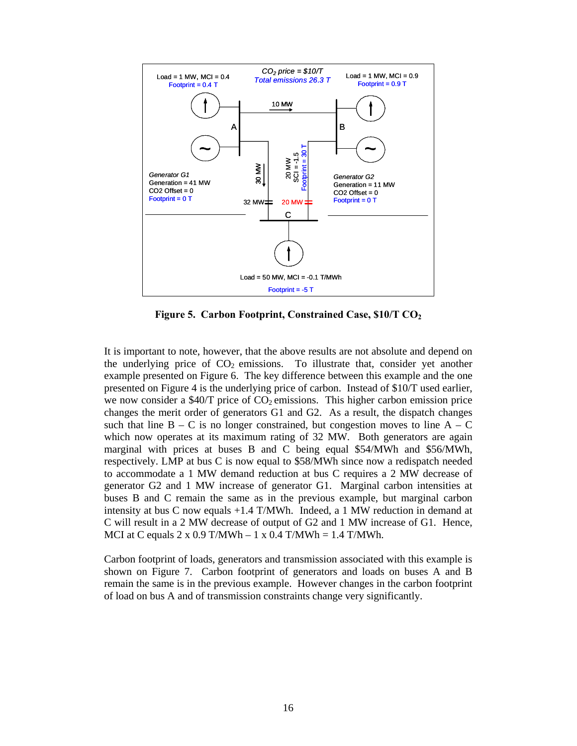

**Figure 5. Carbon Footprint, Constrained Case, \$10/T CO2**

It is important to note, however, that the above results are not absolute and depend on the underlying price of  $CO<sub>2</sub>$  emissions. To illustrate that, consider yet another example presented on Figure 6. The key difference between this example and the one presented on Figure 4 is the underlying price of carbon. Instead of \$10/T used earlier, we now consider a \$40/T price of  $CO<sub>2</sub>$  emissions. This higher carbon emission price changes the merit order of generators G1 and G2. As a result, the dispatch changes such that line  $B - C$  is no longer constrained, but congestion moves to line  $A - C$ which now operates at its maximum rating of 32 MW. Both generators are again marginal with prices at buses B and C being equal \$54/MWh and \$56/MWh, respectively. LMP at bus C is now equal to \$58/MWh since now a redispatch needed to accommodate a 1 MW demand reduction at bus C requires a 2 MW decrease of generator G2 and 1 MW increase of generator G1. Marginal carbon intensities at buses B and C remain the same as in the previous example, but marginal carbon intensity at bus C now equals +1.4 T/MWh. Indeed, a 1 MW reduction in demand at C will result in a 2 MW decrease of output of G2 and 1 MW increase of G1. Hence, MCI at C equals  $2 \times 0.9$  T/MWh  $- 1 \times 0.4$  T/MWh  $= 1.4$  T/MWh.

Carbon footprint of loads, generators and transmission associated with this example is shown on Figure 7. Carbon footprint of generators and loads on buses A and B remain the same is in the previous example. However changes in the carbon footprint of load on bus A and of transmission constraints change very significantly.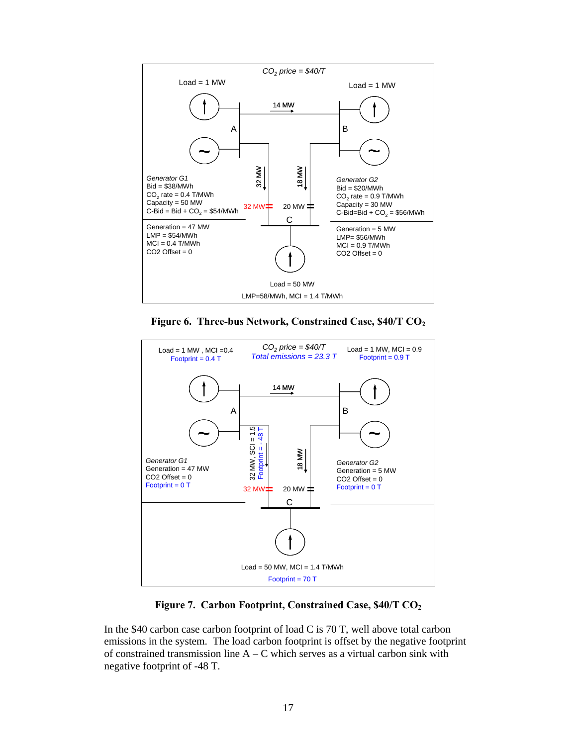

**Figure 6. Three-bus Network, Constrained Case, \$40/T CO2** 



**Figure 7. Carbon Footprint, Constrained Case, \$40/T CO2** 

In the \$40 carbon case carbon footprint of load C is 70 T, well above total carbon emissions in the system. The load carbon footprint is offset by the negative footprint of constrained transmission line  $A - C$  which serves as a virtual carbon sink with negative footprint of -48 T.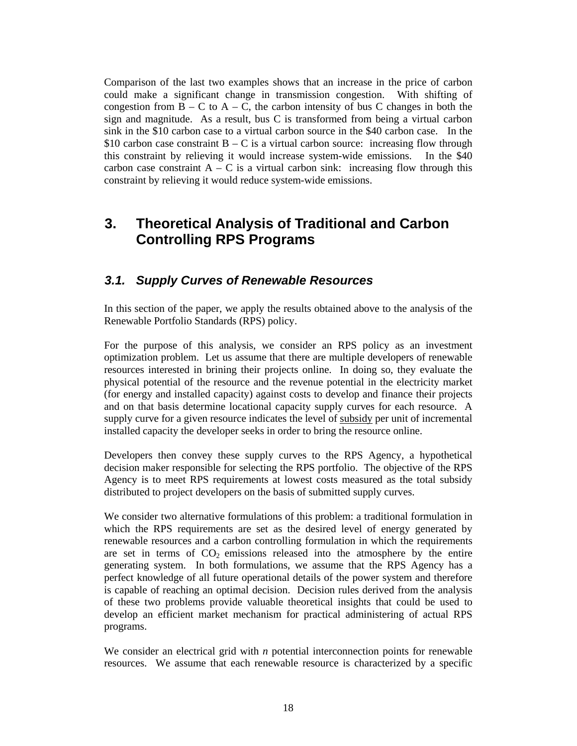Comparison of the last two examples shows that an increase in the price of carbon could make a significant change in transmission congestion. With shifting of congestion from  $B - C$  to  $A - C$ , the carbon intensity of bus C changes in both the sign and magnitude. As a result, bus C is transformed from being a virtual carbon sink in the \$10 carbon case to a virtual carbon source in the \$40 carbon case. In the \$10 carbon case constraint  $B - C$  is a virtual carbon source: increasing flow through this constraint by relieving it would increase system-wide emissions. In the \$40 carbon case constraint  $A - C$  is a virtual carbon sink: increasing flow through this constraint by relieving it would reduce system-wide emissions.

# **3. Theoretical Analysis of Traditional and Carbon Controlling RPS Programs**

## *3.1. Supply Curves of Renewable Resources*

In this section of the paper, we apply the results obtained above to the analysis of the Renewable Portfolio Standards (RPS) policy.

For the purpose of this analysis, we consider an RPS policy as an investment optimization problem. Let us assume that there are multiple developers of renewable resources interested in brining their projects online. In doing so, they evaluate the physical potential of the resource and the revenue potential in the electricity market (for energy and installed capacity) against costs to develop and finance their projects and on that basis determine locational capacity supply curves for each resource. A supply curve for a given resource indicates the level of subsidy per unit of incremental installed capacity the developer seeks in order to bring the resource online.

Developers then convey these supply curves to the RPS Agency, a hypothetical decision maker responsible for selecting the RPS portfolio. The objective of the RPS Agency is to meet RPS requirements at lowest costs measured as the total subsidy distributed to project developers on the basis of submitted supply curves.

We consider two alternative formulations of this problem: a traditional formulation in which the RPS requirements are set as the desired level of energy generated by renewable resources and a carbon controlling formulation in which the requirements are set in terms of  $CO<sub>2</sub>$  emissions released into the atmosphere by the entire generating system. In both formulations, we assume that the RPS Agency has a perfect knowledge of all future operational details of the power system and therefore is capable of reaching an optimal decision. Decision rules derived from the analysis of these two problems provide valuable theoretical insights that could be used to develop an efficient market mechanism for practical administering of actual RPS programs.

We consider an electrical grid with *n* potential interconnection points for renewable resources. We assume that each renewable resource is characterized by a specific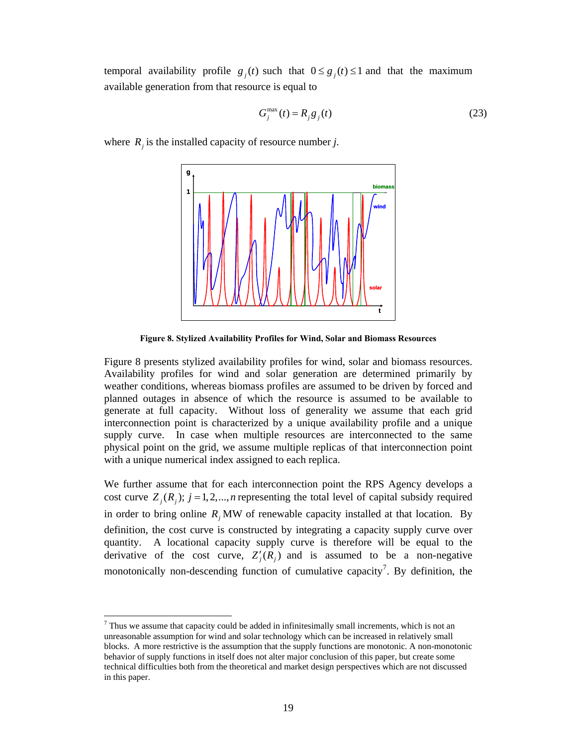temporal availability profile  $g_i(t)$  such that  $0 \le g_i(t) \le 1$  and that the maximum available generation from that resource is equal to

$$
G_j^{\max}(t) = R_j g_j(t) \tag{23}
$$

where  $R_i$  is the installed capacity of resource number *j*.



**Figure 8. Stylized Availability Profiles for Wind, Solar and Biomass Resources** 

Figure 8 presents stylized availability profiles for wind, solar and biomass resources. Availability profiles for wind and solar generation are determined primarily by weather conditions, whereas biomass profiles are assumed to be driven by forced and planned outages in absence of which the resource is assumed to be available to generate at full capacity. Without loss of generality we assume that each grid interconnection point is characterized by a unique availability profile and a unique supply curve. In case when multiple resources are interconnected to the same physical point on the grid, we assume multiple replicas of that interconnection point with a unique numerical index assigned to each replica.

We further assume that for each interconnection point the RPS Agency develops a cost curve  $Z_i(R_i)$ ;  $j = 1,2,...,n$  representing the total level of capital subsidy required in order to bring online  $R_i$  MW of renewable capacity installed at that location. By definition, the cost curve is constructed by integrating a capacity supply curve over quantity. A locational capacity supply curve is therefore will be equal to the derivative of the cost curve,  $Z'_{j}(R_{j})$  and is assumed to be a non-negative monotonically non-descending function of cumulative capacity<sup>7</sup>. By definition, the

 $\overline{a}$ 

 $<sup>7</sup>$  Thus we assume that capacity could be added in infinitesimally small increments, which is not an</sup> unreasonable assumption for wind and solar technology which can be increased in relatively small blocks. A more restrictive is the assumption that the supply functions are monotonic. A non-monotonic behavior of supply functions in itself does not alter major conclusion of this paper, but create some technical difficulties both from the theoretical and market design perspectives which are not discussed in this paper.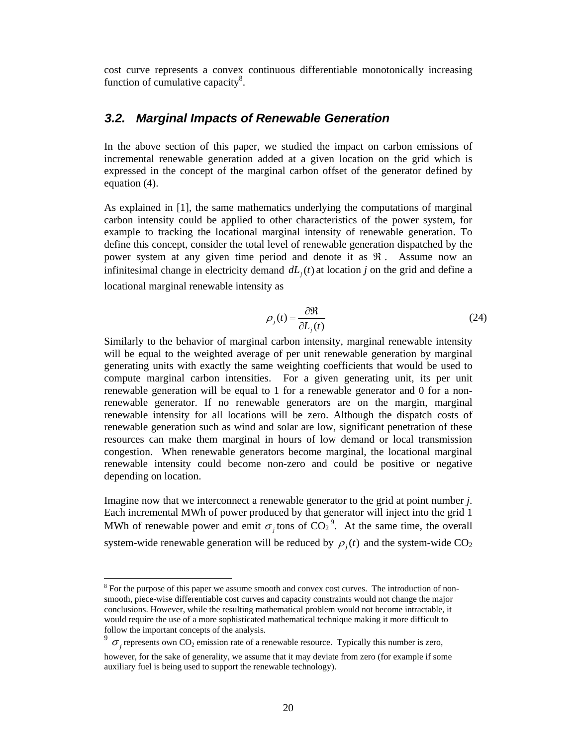cost curve represents a convex continuous differentiable monotonically increasing function of cumulative capacity $8$ .

### *3.2. Marginal Impacts of Renewable Generation*

In the above section of this paper, we studied the impact on carbon emissions of incremental renewable generation added at a given location on the grid which is expressed in the concept of the marginal carbon offset of the generator defined by equation (4).

As explained in [1], the same mathematics underlying the computations of marginal carbon intensity could be applied to other characteristics of the power system, for example to tracking the locational marginal intensity of renewable generation. To define this concept, consider the total level of renewable generation dispatched by the power system at any given time period and denote it as  $\Re$ . Assume now an infinitesimal change in electricity demand  $dL<sub>i</sub>(t)$  at location *j* on the grid and define a locational marginal renewable intensity as

$$
\rho_j(t) = \frac{\partial \Re}{\partial L_j(t)}\tag{24}
$$

Similarly to the behavior of marginal carbon intensity, marginal renewable intensity will be equal to the weighted average of per unit renewable generation by marginal generating units with exactly the same weighting coefficients that would be used to compute marginal carbon intensities. For a given generating unit, its per unit renewable generation will be equal to 1 for a renewable generator and 0 for a nonrenewable generator. If no renewable generators are on the margin, marginal renewable intensity for all locations will be zero. Although the dispatch costs of renewable generation such as wind and solar are low, significant penetration of these resources can make them marginal in hours of low demand or local transmission congestion. When renewable generators become marginal, the locational marginal renewable intensity could become non-zero and could be positive or negative depending on location.

Imagine now that we interconnect a renewable generator to the grid at point number *j*. Each incremental MWh of power produced by that generator will inject into the grid 1 MWh of renewable power and emit  $\sigma_j$  tons of CO<sub>2</sub><sup>9</sup>. At the same time, the overall system-wide renewable generation will be reduced by  $\rho_i(t)$  and the system-wide CO<sub>2</sub>

 $\overline{a}$ 

 $8$  For the purpose of this paper we assume smooth and convex cost curves. The introduction of nonsmooth, piece-wise differentiable cost curves and capacity constraints would not change the major conclusions. However, while the resulting mathematical problem would not become intractable, it would require the use of a more sophisticated mathematical technique making it more difficult to follow the important concepts of the analysis.

<sup>&</sup>lt;sup>9</sup>  $\sigma$ <sub>*j*</sub> represents own CO<sub>2</sub> emission rate of a renewable resource. Typically this number is zero,

however, for the sake of generality, we assume that it may deviate from zero (for example if some auxiliary fuel is being used to support the renewable technology).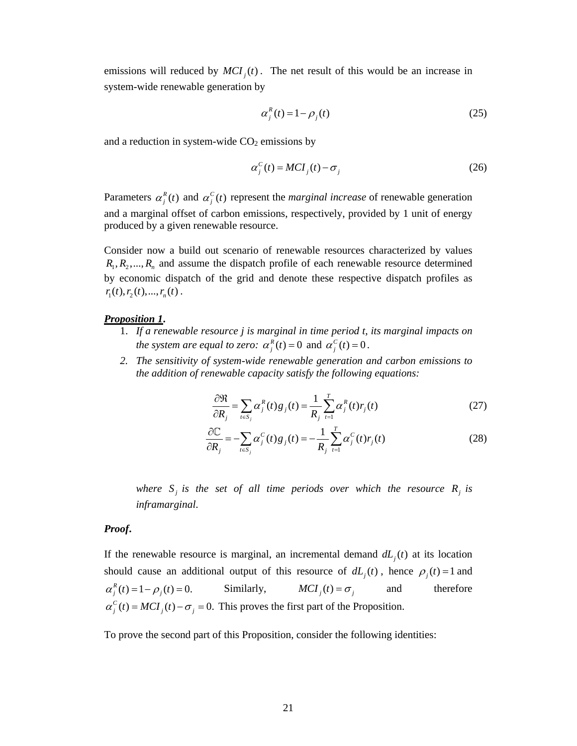emissions will reduced by  $MCI_i(t)$ . The net result of this would be an increase in system-wide renewable generation by

$$
\alpha_j^R(t) = 1 - \rho_j(t) \tag{25}
$$

and a reduction in system-wide  $CO<sub>2</sub>$  emissions by

$$
\alpha_j^C(t) = MCI_j(t) - \sigma_j \tag{26}
$$

Parameters  $\alpha_j^R(t)$  and  $\alpha_j^C(t)$  represent the *marginal increase* of renewable generation and a marginal offset of carbon emissions, respectively, provided by 1 unit of energy produced by a given renewable resource.

Consider now a build out scenario of renewable resources characterized by values  $R_1, R_2, ..., R_n$  and assume the dispatch profile of each renewable resource determined by economic dispatch of the grid and denote these respective dispatch profiles as  $r_1(t), r_2(t),..., r_n(t)$ .

#### *Proposition 1***.**

- 1. *If a renewable resource j is marginal in time period t, its marginal impacts on the system are equal to zero:*  $\alpha_j^R(t) = 0$  and  $\alpha_j^C(t) = 0$ .
- *2. The sensitivity of system-wide renewable generation and carbon emissions to the addition of renewable capacity satisfy the following equations:*

$$
\frac{\partial \mathcal{R}}{\partial R_j} = \sum_{t \in S_j} \alpha_j^R(t) g_j(t) = \frac{1}{R_j} \sum_{t=1}^T \alpha_j^R(t) r_j(t)
$$
\n(27)

$$
\frac{\partial \mathbb{C}}{\partial R_j} = -\sum_{t \in S_j} \alpha_j^C(t) g_j(t) = -\frac{1}{R_j} \sum_{t=1}^T \alpha_j^C(t) r_j(t)
$$
\n(28)

where  $S_i$  *is the set of all time periods over which the resource*  $R_i$  *is inframarginal*.

#### *Proof***.**

If the renewable resource is marginal, an incremental demand  $dL_i(t)$  at its location should cause an additional output of this resource of  $dL_i(t)$ , hence  $\rho_i(t) = 1$  and  $\alpha_j^R(t) = 1 - \rho_j(t) = 0.$  Similarly,  $MCI_j(t) = \sigma_j$  and therefore  $\alpha_j^C(t) = MCI_j(t) - \sigma_j = 0$ . This proves the first part of the Proposition.

To prove the second part of this Proposition, consider the following identities: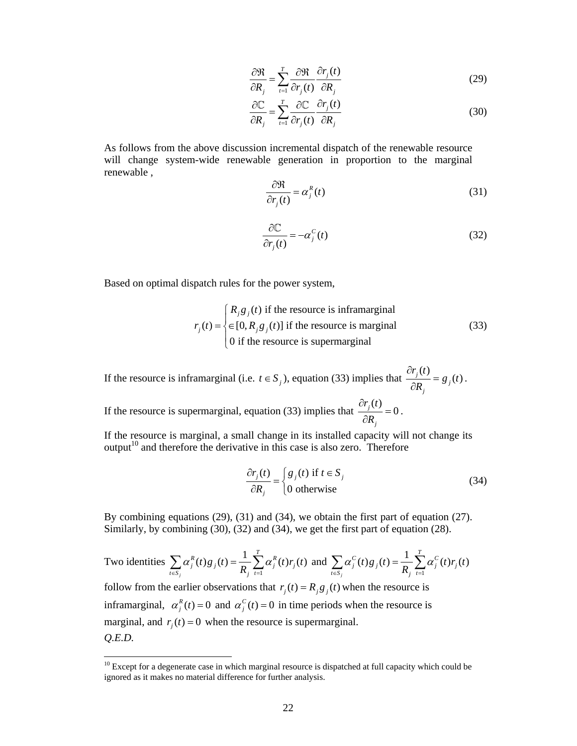$$
\frac{\partial \mathfrak{R}}{\partial R_j} = \sum_{t=1}^T \frac{\partial \mathfrak{R}}{\partial r_j(t)} \frac{\partial r_j(t)}{\partial R_j}
$$
(29)

$$
\frac{\partial \mathbb{C}}{\partial R_j} = \sum_{t=1}^T \frac{\partial \mathbb{C}}{\partial r_j(t)} \frac{\partial r_j(t)}{\partial R_j}
$$
(30)

As follows from the above discussion incremental dispatch of the renewable resource will change system-wide renewable generation in proportion to the marginal renewable ,

$$
\frac{\partial \mathfrak{R}}{\partial r_j(t)} = \alpha_j^R(t) \tag{31}
$$

$$
\frac{\partial \mathbb{C}}{\partial r_j(t)} = -\alpha_j^C(t) \tag{32}
$$

Based on optimal dispatch rules for the power system,

$$
r_j(t) = \begin{cases} R_j g_j(t) & \text{if the resource is inframarginal} \\ \in [0, R_j g_j(t)] & \text{if the resource is marginal} \\ 0 & \text{if the resource is supermarginal} \end{cases}
$$
 (33)

If the resource is inframarginal (i.e.  $t \in S_j$ ), equation (33) implies that  $\frac{\partial r_j(t)}{\partial \mathbf{p}} = g_j(t)$ *j*  $r_i(t)$ *g t*  $\frac{\partial r_j(t)}{\partial R_i} = g_j(t)$ .

If the resource is supermarginal, equation (33) implies that  $\frac{\partial r_j(t)}{\partial t} = 0$ *j*  $r_i(t)$  $\frac{\partial r_j(t)}{\partial R_i} = 0$ .

If the resource is marginal, a small change in its installed capacity will not change its  $output<sup>10</sup>$  and therefore the derivative in this case is also zero. Therefore

$$
\frac{\partial r_j(t)}{\partial R_j} = \begin{cases} g_j(t) & \text{if } t \in S_j \\ 0 & \text{otherwise} \end{cases}
$$
 (34)

By combining equations (29), (31) and (34), we obtain the first part of equation (27). Similarly, by combining (30), (32) and (34), we get the first part of equation (28).

Two identities  $\sum_{t \in S_j} \alpha_j^R(t) g_j(t) = \frac{1}{R_j} \sum_{t=1}^T \alpha_j^R(t) r_j(t)$ *j*  $\sum_{t \in S_j} \alpha_j^R(t) g_j(t) = \frac{1}{R_j} \sum_{t=1}^T \alpha_j^R(t) r_j(t)$  $\sum_{t \in S_i} \alpha_j^R(t) g_j(t) = \frac{1}{R_i} \sum_{t=1}^T \alpha_j^R(t) r_j(t)$  and  $\sum_{t \in S_i} \alpha_j^C(t) g_j(t) = \frac{1}{R_i} \sum_{t=1}^T \alpha_j^C(t) r_j(t)$ *j*  $\sum_{t \in S_j} \alpha_j^C(t) g_j(t) = \frac{1}{R_j} \sum_{t=1}^T \alpha_j^C(t) r_j(t)$  $\sum_{t \in S_j} \alpha_j^C(t) g_j(t) = \frac{1}{R_j} \sum_{t=1}$ follow from the earlier observations that  $r_i(t) = R_i g_i(t)$  when the resource is inframarginal,  $\alpha_j^R(t) = 0$  and  $\alpha_j^C(t) = 0$  in time periods when the resource is marginal, and  $r_i(t) = 0$  when the resource is supermarginal. *Q.E.D.* 

 $\overline{a}$ 

 $10$  Except for a degenerate case in which marginal resource is dispatched at full capacity which could be ignored as it makes no material difference for further analysis.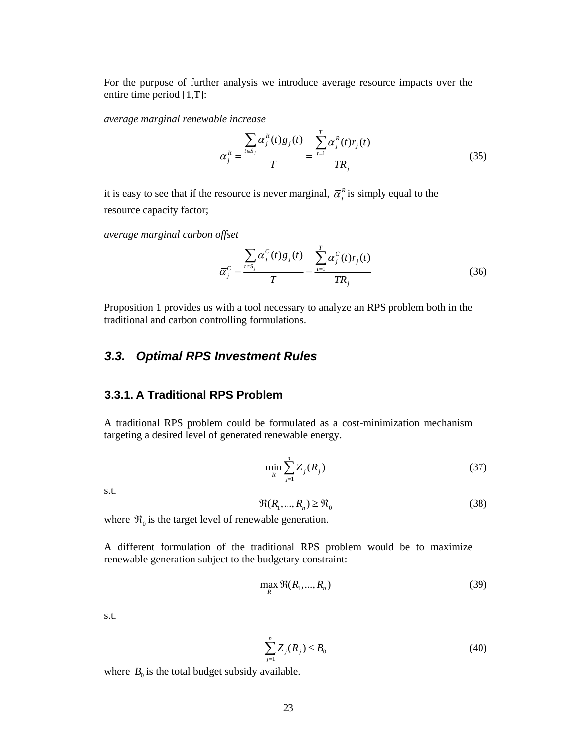For the purpose of further analysis we introduce average resource impacts over the entire time period [1,T]:

*average marginal renewable increase* 

$$
\overline{\alpha}_{j}^{R} = \frac{\sum_{t \in S_{j}} \alpha_{j}^{R}(t) g_{j}(t)}{T} = \frac{\sum_{t=1}^{T} \alpha_{j}^{R}(t) r_{j}(t)}{TR_{j}}
$$
(35)

it is easy to see that if the resource is never marginal,  $\bar{\alpha}_i^R$  is simply equal to the resource capacity factor;

*average marginal carbon offset* 

$$
\overline{\alpha}_{j}^{C} = \frac{\sum_{t \in S_{j}} \alpha_{j}^{C}(t) g_{j}(t)}{T} = \frac{\sum_{t=1}^{T} \alpha_{j}^{C}(t) r_{j}(t)}{TR_{j}}
$$
(36)

Proposition 1 provides us with a tool necessary to analyze an RPS problem both in the traditional and carbon controlling formulations.

## *3.3. Optimal RPS Investment Rules*

### **3.3.1. A Traditional RPS Problem**

A traditional RPS problem could be formulated as a cost-minimization mechanism targeting a desired level of generated renewable energy.

$$
\min_{R} \sum_{j=1}^{n} Z_j(R_j) \tag{37}
$$

s.t.

$$
\Re(R_1, ..., R_n) \ge \Re_0 \tag{38}
$$

where  $\mathfrak{R}_0$  is the target level of renewable generation.

A different formulation of the traditional RPS problem would be to maximize renewable generation subject to the budgetary constraint:

$$
\max_{R} \Re(R_1, ..., R_n) \tag{39}
$$

s.t.

$$
\sum_{j=1}^{n} Z_j(R_j) \le B_0
$$
\n(40)

where  $B_0$  is the total budget subsidy available.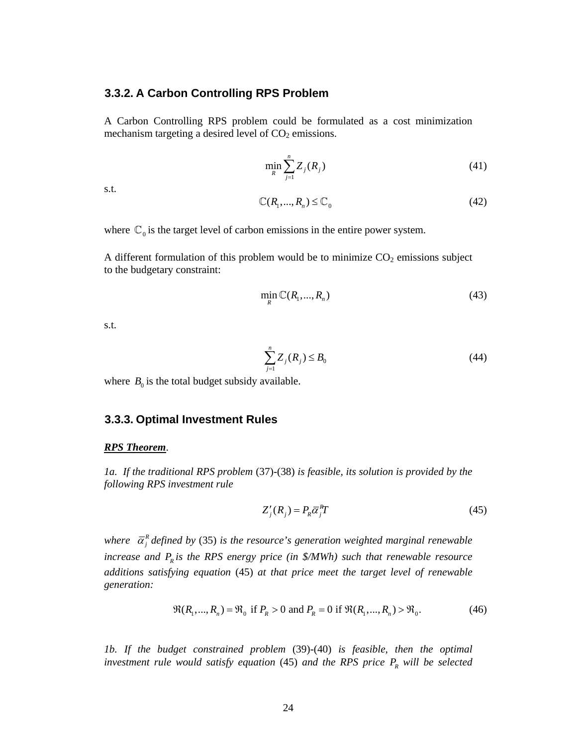#### **3.3.2. A Carbon Controlling RPS Problem**

A Carbon Controlling RPS problem could be formulated as a cost minimization mechanism targeting a desired level of  $CO<sub>2</sub>$  emissions.

$$
\min_{R} \sum_{j=1}^{n} Z_j(R_j) \tag{41}
$$

s.t.

$$
\mathbb{C}(R_1, ..., R_n) \le \mathbb{C}_0 \tag{42}
$$

where  $\mathbb{C}_0$  is the target level of carbon emissions in the entire power system.

A different formulation of this problem would be to minimize  $CO<sub>2</sub>$  emissions subject to the budgetary constraint:

$$
\min_{R} \mathbb{C}(R_1, ..., R_n) \tag{43}
$$

s.t.

$$
\sum_{j=1}^{n} Z_j(R_j) \le B_0 \tag{44}
$$

where  $B_0$  is the total budget subsidy available.

#### **3.3.3. Optimal Investment Rules**

#### *RPS Theorem*.

*1a. If the traditional RPS problem* (37)*-*(38) *is feasible, its solution is provided by the following RPS investment rule* 

$$
Z'_{j}(R_{j}) = P_{R}\overline{\alpha}_{j}^{R}T
$$
\n(45)

*where*  $\bar{\alpha}_i^R$  *defined by (35) is the resource's generation weighted marginal renewable increase and*  $P_R$  *is the RPS energy price (in \$/MWh) such that renewable resource additions satisfying equation* (45) *at that price meet the target level of renewable generation:* 

$$
\Re(R_1, ..., R_n) = \Re_0 \text{ if } P_R > 0 \text{ and } P_R = 0 \text{ if } \Re(R_1, ..., R_n) > \Re_0. \tag{46}
$$

*1b. If the budget constrained problem* (39)-(40) *is feasible, then the optimal investment rule would satisfy equation* (45) *and the RPS price*  $P_R$  *will be selected*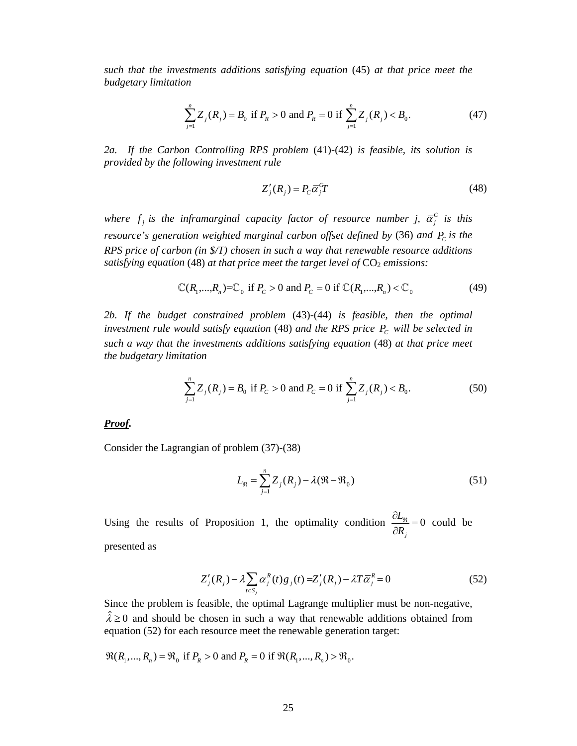*such that the investments additions satisfying equation* (45) *at that price meet the budgetary limitation* 

$$
\sum_{j=1}^{n} Z_j(R_j) = B_0 \text{ if } P_R > 0 \text{ and } P_R = 0 \text{ if } \sum_{j=1}^{n} Z_j(R_j) < B_0. \tag{47}
$$

*2a. If the Carbon Controlling RPS problem* (41)*-*(42) *is feasible, its solution is provided by the following investment rule* 

$$
Z'_{j}(R_{j}) = P_{c}\overline{\alpha}_{j}^{c}T
$$
\n(48)

*where f<sub>j</sub> is the inframarginal capacity factor of resource number j,*  $\bar{\alpha}_i^c$  *is this resource's generation weighted marginal carbon offset defined by (36) and*  $P_c$  *is the RPS price of carbon (in \$/T) chosen in such a way that renewable resource additions satisfying equation* (48) *at that price meet the target level of*  $CO<sub>2</sub>$  *emissions:* 

$$
\mathbb{C}(R_1,...,R_n) = \mathbb{C}_0 \text{ if } P_c > 0 \text{ and } P_c = 0 \text{ if } \mathbb{C}(R_1,...,R_n) < \mathbb{C}_0 \tag{49}
$$

*2b. If the budget constrained problem* (43)-(44) *is feasible, then the optimal investment rule would satisfy equation* (48) *and the RPS price*  $P_c$  *will be selected in such a way that the investments additions satisfying equation* (48) *at that price meet the budgetary limitation* 

$$
\sum_{j=1}^{n} Z_j(R_j) = B_0 \text{ if } P_C > 0 \text{ and } P_C = 0 \text{ if } \sum_{j=1}^{n} Z_j(R_j) < B_0. \tag{50}
$$

#### *Proof.*

Consider the Lagrangian of problem (37)*-*(38)

$$
L_{\mathfrak{R}} = \sum_{j=1}^{n} Z_j(R_j) - \lambda(\mathfrak{R} - \mathfrak{R}_0)
$$
\n(51)

Using the results of Proposition 1, the optimality condition  $\frac{\partial E_{\Re}}{\partial \Sigma} = 0$ *j L*  $\frac{\partial L_{\mathfrak{R}}}{\partial R_i} = 0$  could be

presented as

$$
Z'_{j}(R_{j}) - \lambda \sum_{t \in S_{j}} \alpha_{j}^{R}(t)g_{j}(t) = Z'_{j}(R_{j}) - \lambda T \overline{\alpha}_{j}^{R} = 0
$$
\n(52)

Since the problem is feasible, the optimal Lagrange multiplier must be non-negative,  $\hat{\lambda} \ge 0$  and should be chosen in such a way that renewable additions obtained from equation (52) for each resource meet the renewable generation target:

 $\mathfrak{R}(R_1, ..., R_n) = \mathfrak{R}_0$  if  $P_R > 0$  and  $P_R = 0$  if  $\mathfrak{R}(R_1, ..., R_n) > \mathfrak{R}_0$ .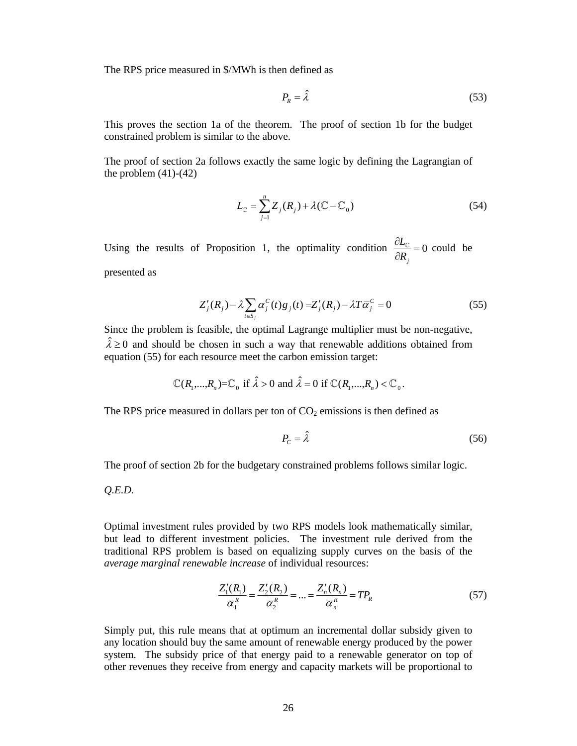The RPS price measured in \$/MWh is then defined as

$$
P_R = \hat{\lambda} \tag{53}
$$

This proves the section 1a of the theorem. The proof of section 1b for the budget constrained problem is similar to the above.

The proof of section 2a follows exactly the same logic by defining the Lagrangian of the problem (41)*-*(42)

$$
L_{\mathbb{C}} = \sum_{j=1}^{n} Z_j(R_j) + \lambda (\mathbb{C} - \mathbb{C}_0)
$$
\n(54)

Using the results of Proposition 1, the optimality condition  $\frac{CD_C}{CD} = 0$ *j L*  $\frac{\partial L_{\mathbb{C}}}{\partial R_i} = 0$  could be

presented as

$$
Z'_{j}(R_{j}) - \lambda \sum_{t \in S_{j}} \alpha_{j}^{C}(t)g_{j}(t) = Z'_{j}(R_{j}) - \lambda T \overline{\alpha}_{j}^{C} = 0
$$
\n(55)

Since the problem is feasible, the optimal Lagrange multiplier must be non-negative,  $\hat{\lambda} \ge 0$  and should be chosen in such a way that renewable additions obtained from equation (55) for each resource meet the carbon emission target:

$$
\mathbb{C}(R_1,\ldots,R_n)=\mathbb{C}_0 \text{ if } \hat{\lambda} > 0 \text{ and } \hat{\lambda} = 0 \text{ if } \mathbb{C}(R_1,\ldots,R_n) < \mathbb{C}_0.
$$

The RPS price measured in dollars per ton of  $CO<sub>2</sub>$  emissions is then defined as

$$
P_c = \hat{\lambda} \tag{56}
$$

The proof of section 2b for the budgetary constrained problems follows similar logic.

*Q.E.D.* 

Optimal investment rules provided by two RPS models look mathematically similar, but lead to different investment policies. The investment rule derived from the traditional RPS problem is based on equalizing supply curves on the basis of the *average marginal renewable increase* of individual resources:

$$
\frac{Z_1'(R_1)}{\overline{\alpha}_1^R} = \frac{Z_2'(R_2)}{\overline{\alpha}_2^R} = \dots = \frac{Z_n'(R_n)}{\overline{\alpha}_n^R} = TP_R
$$
\n(57)

Simply put, this rule means that at optimum an incremental dollar subsidy given to any location should buy the same amount of renewable energy produced by the power system. The subsidy price of that energy paid to a renewable generator on top of other revenues they receive from energy and capacity markets will be proportional to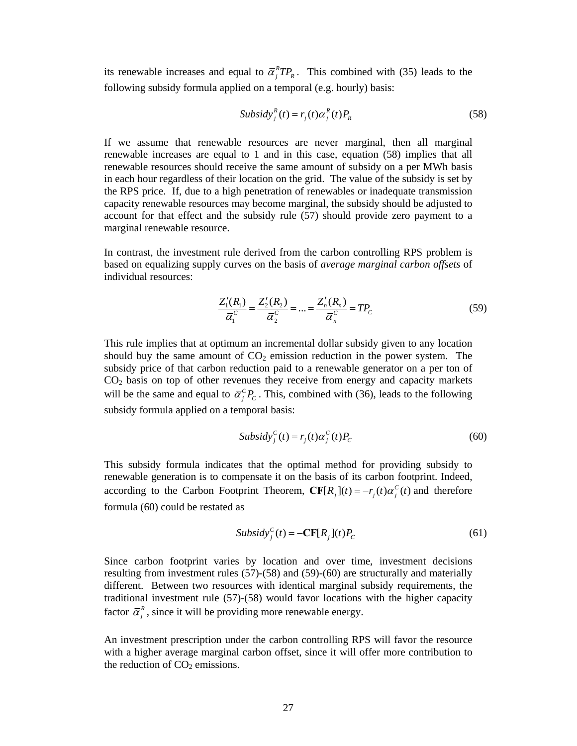its renewable increases and equal to  $\bar{\alpha}_i^R T P_R$ . This combined with (35) leads to the following subsidy formula applied on a temporal (e.g. hourly) basis:

$$
Subsidy_j^R(t) = r_j(t)\alpha_j^R(t)P_R
$$
\n(58)

If we assume that renewable resources are never marginal, then all marginal renewable increases are equal to 1 and in this case, equation (58) implies that all renewable resources should receive the same amount of subsidy on a per MWh basis in each hour regardless of their location on the grid. The value of the subsidy is set by the RPS price. If, due to a high penetration of renewables or inadequate transmission capacity renewable resources may become marginal, the subsidy should be adjusted to account for that effect and the subsidy rule (57) should provide zero payment to a marginal renewable resource.

In contrast, the investment rule derived from the carbon controlling RPS problem is based on equalizing supply curves on the basis of *average marginal carbon offsets* of individual resources:

$$
\frac{Z_1'(R_1)}{\overline{\alpha}_1^c} = \frac{Z_2'(R_2)}{\overline{\alpha}_2^c} = \dots = \frac{Z_n'(R_n)}{\overline{\alpha}_n^c} = TP_c \tag{59}
$$

This rule implies that at optimum an incremental dollar subsidy given to any location should buy the same amount of  $CO<sub>2</sub>$  emission reduction in the power system. The subsidy price of that carbon reduction paid to a renewable generator on a per ton of  $CO<sub>2</sub>$  basis on top of other revenues they receive from energy and capacity markets will be the same and equal to  $\bar{\alpha}_i^c P_c$ . This, combined with (36), leads to the following subsidy formula applied on a temporal basis:

$$
Subsidy_j^C(t) = r_j(t)\alpha_j^C(t)P_c
$$
\n(60)

This subsidy formula indicates that the optimal method for providing subsidy to renewable generation is to compensate it on the basis of its carbon footprint. Indeed, according to the Carbon Footprint Theorem,  $CF[R_j](t) = -r_j(t)\alpha_j^C(t)$  and therefore formula (60) could be restated as

$$
Subsidy_j^C(t) = -CF[R_j](t)P_c
$$
\n(61)

Since carbon footprint varies by location and over time, investment decisions resulting from investment rules (57)-(58) and (59)-(60) are structurally and materially different. Between two resources with identical marginal subsidy requirements, the traditional investment rule (57)-(58) would favor locations with the higher capacity factor  $\bar{\alpha}_i^R$ , since it will be providing more renewable energy.

An investment prescription under the carbon controlling RPS will favor the resource with a higher average marginal carbon offset, since it will offer more contribution to the reduction of  $CO<sub>2</sub>$  emissions.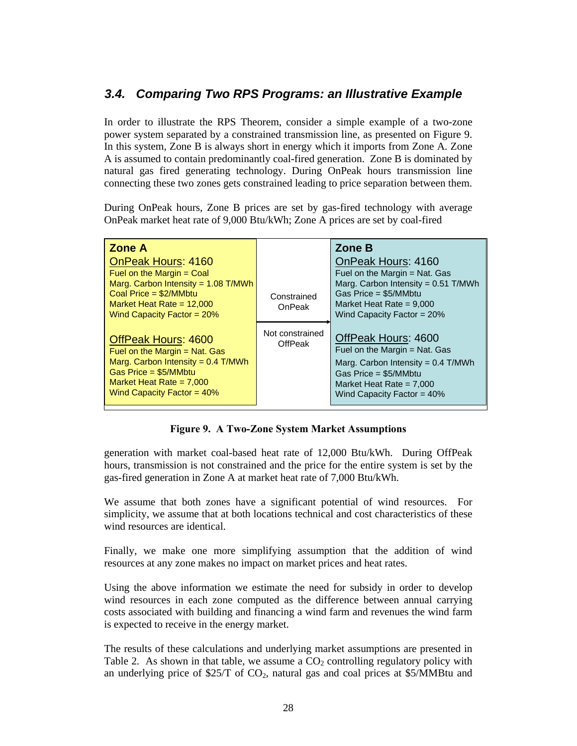## *3.4. Comparing Two RPS Programs: an Illustrative Example*

In order to illustrate the RPS Theorem, consider a simple example of a two-zone power system separated by a constrained transmission line, as presented on Figure 9. In this system, Zone B is always short in energy which it imports from Zone A. Zone A is assumed to contain predominantly coal-fired generation. Zone B is dominated by natural gas fired generating technology. During OnPeak hours transmission line connecting these two zones gets constrained leading to price separation between them.

During OnPeak hours, Zone B prices are set by gas-fired technology with average OnPeak market heat rate of 9,000 Btu/kWh; Zone A prices are set by coal-fired

| Zone A<br><b>OnPeak Hours: 4160</b><br>Fuel on the Margin $=$ Coal<br>Marg. Carbon Intensity = 1.08 T/MWh<br>Coal Price = $$2/MM$<br>Market Heat Rate = $12,000$<br>Wind Capacity Factor = $20\%$ | Constrained<br>OnPeak      | Zone B<br>OnPeak Hours: 4160<br>Fuel on the Margin = Nat. Gas<br>Marg. Carbon Intensity = $0.51$ T/MWh<br>Gas Price = $$5/MM$<br>Market Heat Rate = $9,000$<br>Wind Capacity Factor = $20\%$ |
|---------------------------------------------------------------------------------------------------------------------------------------------------------------------------------------------------|----------------------------|----------------------------------------------------------------------------------------------------------------------------------------------------------------------------------------------|
| OffPeak Hours: 4600<br>Fuel on the Margin $=$ Nat. Gas<br>Marg. Carbon Intensity = $0.4$ T/MWh<br>Gas Price = $$5/MM$<br>Market Heat Rate = $7,000$<br>Wind Capacity Factor = $40\%$              | Not constrained<br>OffPeak | OffPeak Hours: 4600<br>Fuel on the Margin = Nat. Gas<br>Marg. Carbon Intensity = $0.4$ T/MWh<br>Gas Price = $$5/MM$<br>Market Heat Rate = $7,000$<br>Wind Capacity Factor = $40\%$           |

**Figure 9. A Two-Zone System Market Assumptions** 

generation with market coal-based heat rate of 12,000 Btu/kWh. During OffPeak hours, transmission is not constrained and the price for the entire system is set by the gas-fired generation in Zone A at market heat rate of 7,000 Btu/kWh.

We assume that both zones have a significant potential of wind resources. For simplicity, we assume that at both locations technical and cost characteristics of these wind resources are identical.

Finally, we make one more simplifying assumption that the addition of wind resources at any zone makes no impact on market prices and heat rates.

Using the above information we estimate the need for subsidy in order to develop wind resources in each zone computed as the difference between annual carrying costs associated with building and financing a wind farm and revenues the wind farm is expected to receive in the energy market.

The results of these calculations and underlying market assumptions are presented in Table 2. As shown in that table, we assume a  $CO<sub>2</sub>$  controlling regulatory policy with an underlying price of  $$25/T$  of  $CO<sub>2</sub>$ , natural gas and coal prices at  $$5/MMB$ tu and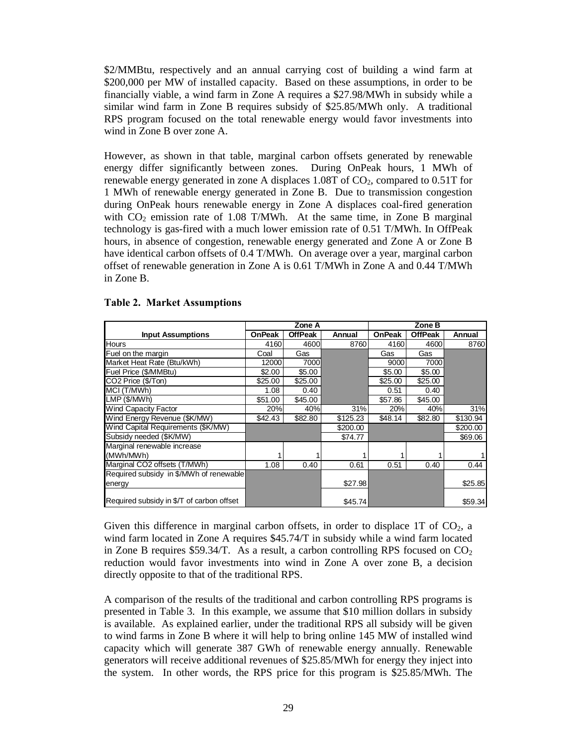\$2/MMBtu, respectively and an annual carrying cost of building a wind farm at \$200,000 per MW of installed capacity. Based on these assumptions, in order to be financially viable, a wind farm in Zone A requires a \$27.98/MWh in subsidy while a similar wind farm in Zone B requires subsidy of \$25.85/MWh only. A traditional RPS program focused on the total renewable energy would favor investments into wind in Zone B over zone A.

However, as shown in that table, marginal carbon offsets generated by renewable energy differ significantly between zones. During OnPeak hours, 1 MWh of renewable energy generated in zone A displaces  $1.08T$  of  $CO<sub>2</sub>$ , compared to  $0.51T$  for 1 MWh of renewable energy generated in Zone B. Due to transmission congestion during OnPeak hours renewable energy in Zone A displaces coal-fired generation with  $CO<sub>2</sub>$  emission rate of 1.08 T/MWh. At the same time, in Zone B marginal technology is gas-fired with a much lower emission rate of 0.51 T/MWh. In OffPeak hours, in absence of congestion, renewable energy generated and Zone A or Zone B have identical carbon offsets of 0.4 T/MWh. On average over a year, marginal carbon offset of renewable generation in Zone A is 0.61 T/MWh in Zone A and 0.44 T/MWh in Zone B.

|                                           | Zone A        |                |          | Zone B        |                |          |
|-------------------------------------------|---------------|----------------|----------|---------------|----------------|----------|
| <b>Input Assumptions</b>                  | <b>OnPeak</b> | <b>OffPeak</b> | Annual   | <b>OnPeak</b> | <b>OffPeak</b> | Annual   |
| Hours                                     | 4160          | 4600           | 8760     | 4160          | 4600           | 8760     |
| Fuel on the margin                        | Coal          | Gas            |          | Gas           | Gas            |          |
| Market Heat Rate (Btu/kWh)                | 12000         | 7000           |          | 9000          | 7000           |          |
| Fuel Price (\$/MMBtu)                     | \$2.00        | \$5.00         |          | \$5.00        | \$5.00         |          |
| CO2 Price (\$/Ton)                        | \$25.00       | \$25.00        |          | \$25.00       | \$25.00        |          |
| MCI (T/MWh)                               | 1.08          | 0.40           |          | 0.51          | 0.40           |          |
| LMP (\$/MWh)                              | \$51.00       | \$45.00        |          | \$57.86       | \$45.00        |          |
| <b>Wind Capacity Factor</b>               | 20%           | 40%            | 31%      | 20%           | 40%            | 31%      |
| Wind Energy Revenue (\$K/MW)              | \$42.43       | \$82.80        | \$125.23 | \$48.14       | \$82.80        | \$130.94 |
| Wind Capital Requirements (\$K/MW)        |               |                | \$200.00 |               |                | \$200.00 |
| Subsidy needed (\$K/MW)                   |               |                | \$74.77  |               |                | \$69.06  |
| Marginal renewable increase               |               |                |          |               |                |          |
| (MWh/MWh)                                 |               |                |          |               |                |          |
| Marginal CO2 offsets (T/MWh)              | 1.08          | 0.40           | 0.61     | 0.51          | 0.40           | 0.44     |
| Required subsidy in \$/MWh of renewable   |               |                |          |               |                |          |
| energy                                    |               |                | \$27.98  |               |                | \$25.85  |
|                                           |               |                |          |               |                |          |
| Required subsidy in \$/T of carbon offset |               |                | \$45.74  |               |                | \$59.34  |

### **Table 2. Market Assumptions**

Given this difference in marginal carbon offsets, in order to displace 1T of  $CO<sub>2</sub>$ , a wind farm located in Zone A requires \$45.74/T in subsidy while a wind farm located in Zone B requires \$59.34/T. As a result, a carbon controlling RPS focused on  $CO<sub>2</sub>$ reduction would favor investments into wind in Zone A over zone B, a decision directly opposite to that of the traditional RPS.

A comparison of the results of the traditional and carbon controlling RPS programs is presented in Table 3. In this example, we assume that \$10 million dollars in subsidy is available. As explained earlier, under the traditional RPS all subsidy will be given to wind farms in Zone B where it will help to bring online 145 MW of installed wind capacity which will generate 387 GWh of renewable energy annually. Renewable generators will receive additional revenues of \$25.85/MWh for energy they inject into the system. In other words, the RPS price for this program is \$25.85/MWh. The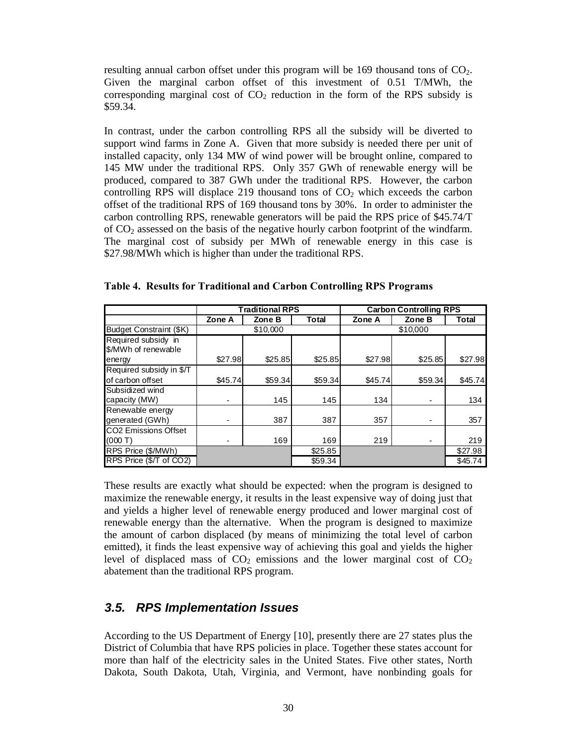resulting annual carbon offset under this program will be  $169$  thousand tons of  $CO<sub>2</sub>$ . Given the marginal carbon offset of this investment of 0.51 T/MWh, the corresponding marginal cost of  $CO<sub>2</sub>$  reduction in the form of the RPS subsidy is \$59.34.

In contrast, under the carbon controlling RPS all the subsidy will be diverted to support wind farms in Zone A. Given that more subsidy is needed there per unit of installed capacity, only 134 MW of wind power will be brought online, compared to 145 MW under the traditional RPS. Only 357 GWh of renewable energy will be produced, compared to 387 GWh under the traditional RPS. However, the carbon controlling RPS will displace 219 thousand tons of  $CO<sub>2</sub>$  which exceeds the carbon offset of the traditional RPS of 169 thousand tons by 30%. In order to administer the carbon controlling RPS, renewable generators will be paid the RPS price of \$45.74/T of CO2 assessed on the basis of the negative hourly carbon footprint of the windfarm. The marginal cost of subsidy per MWh of renewable energy in this case is \$27.98/MWh which is higher than under the traditional RPS.

|                             | <b>Traditional RPS</b> |         |              | <b>Carbon Controlling RPS</b> |         |              |  |
|-----------------------------|------------------------|---------|--------------|-------------------------------|---------|--------------|--|
|                             | Zone A                 | Zone B  | <b>Total</b> | Zone A                        | Zone B  | <b>Total</b> |  |
| Budget Constraint (\$K)     | \$10,000               |         |              | \$10,000                      |         |              |  |
| Required subsidy in         |                        |         |              |                               |         |              |  |
| \$/MWh of renewable         |                        |         |              |                               |         |              |  |
| energy                      | \$27.98                | \$25.85 | \$25.85      | \$27.98                       | \$25.85 | \$27.98      |  |
| Required subsidy in \$/T    |                        |         |              |                               |         |              |  |
| of carbon offset            | \$45.74                | \$59.34 | \$59.34      | \$45.74]                      | \$59.34 | \$45.74      |  |
| Subsidized wind             |                        |         |              |                               |         |              |  |
| capacity (MW)               | ۰                      | 145     | 145          | 134                           |         | 134          |  |
| Renewable energy            |                        |         |              |                               |         |              |  |
| generated (GWh)             | -                      | 387     | 387          | 357                           |         | 357          |  |
| <b>CO2 Emissions Offset</b> |                        |         |              |                               |         |              |  |
| (000T)                      | ۰                      | 169     | 169          | 219                           |         | 219          |  |
| RPS Price (\$/MWh)          |                        |         | \$25.85      |                               |         | \$27.98      |  |
| RPS Price (\$/T of CO2)     |                        |         | \$59.34      |                               |         | \$45.74      |  |

**Table 4. Results for Traditional and Carbon Controlling RPS Programs** 

These results are exactly what should be expected: when the program is designed to maximize the renewable energy, it results in the least expensive way of doing just that and yields a higher level of renewable energy produced and lower marginal cost of renewable energy than the alternative. When the program is designed to maximize the amount of carbon displaced (by means of minimizing the total level of carbon emitted), it finds the least expensive way of achieving this goal and yields the higher level of displaced mass of  $CO<sub>2</sub>$  emissions and the lower marginal cost of  $CO<sub>2</sub>$ abatement than the traditional RPS program.

## *3.5. RPS Implementation Issues*

According to the US Department of Energy [10], presently there are 27 states plus the District of Columbia that have RPS policies in place. Together these states account for more than half of the electricity sales in the United States. Five other states, North Dakota, South Dakota, Utah, Virginia, and Vermont, have nonbinding goals for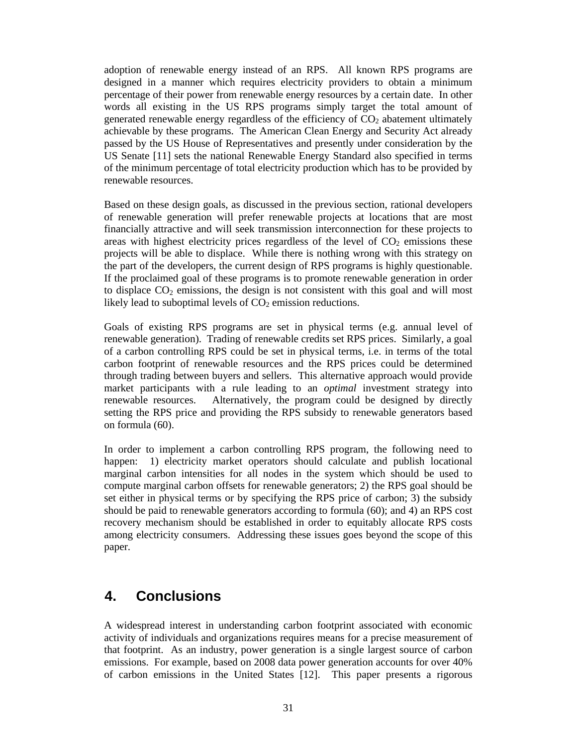adoption of renewable energy instead of an RPS. All known RPS programs are designed in a manner which requires electricity providers to obtain a minimum percentage of their power from renewable energy resources by a certain date. In other words all existing in the US RPS programs simply target the total amount of generated renewable energy regardless of the efficiency of  $CO<sub>2</sub>$  abatement ultimately achievable by these programs. The American Clean Energy and Security Act already passed by the US House of Representatives and presently under consideration by the US Senate [11] sets the national Renewable Energy Standard also specified in terms of the minimum percentage of total electricity production which has to be provided by renewable resources.

Based on these design goals, as discussed in the previous section, rational developers of renewable generation will prefer renewable projects at locations that are most financially attractive and will seek transmission interconnection for these projects to areas with highest electricity prices regardless of the level of  $CO<sub>2</sub>$  emissions these projects will be able to displace. While there is nothing wrong with this strategy on the part of the developers, the current design of RPS programs is highly questionable. If the proclaimed goal of these programs is to promote renewable generation in order to displace  $CO<sub>2</sub>$  emissions, the design is not consistent with this goal and will most likely lead to suboptimal levels of  $CO<sub>2</sub>$  emission reductions.

Goals of existing RPS programs are set in physical terms (e.g. annual level of renewable generation). Trading of renewable credits set RPS prices. Similarly, a goal of a carbon controlling RPS could be set in physical terms, i.e. in terms of the total carbon footprint of renewable resources and the RPS prices could be determined through trading between buyers and sellers. This alternative approach would provide market participants with a rule leading to an *optimal* investment strategy into renewable resources. Alternatively, the program could be designed by directly setting the RPS price and providing the RPS subsidy to renewable generators based on formula (60).

In order to implement a carbon controlling RPS program, the following need to happen: 1) electricity market operators should calculate and publish locational marginal carbon intensities for all nodes in the system which should be used to compute marginal carbon offsets for renewable generators; 2) the RPS goal should be set either in physical terms or by specifying the RPS price of carbon; 3) the subsidy should be paid to renewable generators according to formula (60); and 4) an RPS cost recovery mechanism should be established in order to equitably allocate RPS costs among electricity consumers. Addressing these issues goes beyond the scope of this paper.

# **4. Conclusions**

A widespread interest in understanding carbon footprint associated with economic activity of individuals and organizations requires means for a precise measurement of that footprint. As an industry, power generation is a single largest source of carbon emissions. For example, based on 2008 data power generation accounts for over 40% of carbon emissions in the United States [12]. This paper presents a rigorous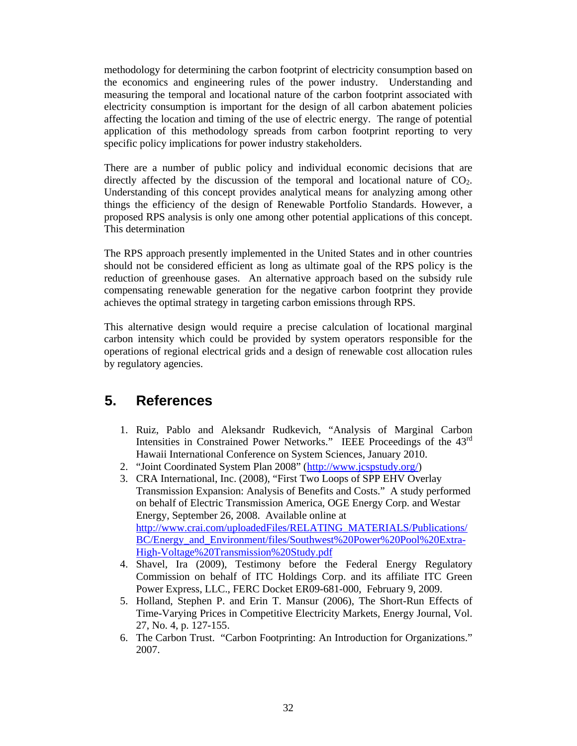methodology for determining the carbon footprint of electricity consumption based on the economics and engineering rules of the power industry. Understanding and measuring the temporal and locational nature of the carbon footprint associated with electricity consumption is important for the design of all carbon abatement policies affecting the location and timing of the use of electric energy. The range of potential application of this methodology spreads from carbon footprint reporting to very specific policy implications for power industry stakeholders.

There are a number of public policy and individual economic decisions that are directly affected by the discussion of the temporal and locational nature of  $CO<sub>2</sub>$ . Understanding of this concept provides analytical means for analyzing among other things the efficiency of the design of Renewable Portfolio Standards. However, a proposed RPS analysis is only one among other potential applications of this concept. This determination

The RPS approach presently implemented in the United States and in other countries should not be considered efficient as long as ultimate goal of the RPS policy is the reduction of greenhouse gases. An alternative approach based on the subsidy rule compensating renewable generation for the negative carbon footprint they provide achieves the optimal strategy in targeting carbon emissions through RPS.

This alternative design would require a precise calculation of locational marginal carbon intensity which could be provided by system operators responsible for the operations of regional electrical grids and a design of renewable cost allocation rules by regulatory agencies.

# **5. References**

- 1. Ruiz, Pablo and Aleksandr Rudkevich, "Analysis of Marginal Carbon Intensities in Constrained Power Networks." IEEE Proceedings of the 43rd Hawaii International Conference on System Sciences, January 2010.
- 2. "Joint Coordinated System Plan 2008" (http://www.jcspstudy.org/)
- 3. CRA International, Inc. (2008), "First Two Loops of SPP EHV Overlay Transmission Expansion: Analysis of Benefits and Costs." A study performed on behalf of Electric Transmission America, OGE Energy Corp. and Westar Energy, September 26, 2008. Available online at http://www.crai.com/uploadedFiles/RELATING\_MATERIALS/Publications/ BC/Energy\_and\_Environment/files/Southwest%20Power%20Pool%20Extra-High-Voltage%20Transmission%20Study.pdf
- 4. Shavel, Ira (2009), Testimony before the Federal Energy Regulatory Commission on behalf of ITC Holdings Corp. and its affiliate ITC Green Power Express, LLC., FERC Docket ER09-681-000, February 9, 2009.
- 5. Holland, Stephen P. and Erin T. Mansur (2006), The Short-Run Effects of Time-Varying Prices in Competitive Electricity Markets, Energy Journal, Vol. 27, No. 4, p. 127-155.
- 6. The Carbon Trust. "Carbon Footprinting: An Introduction for Organizations." 2007.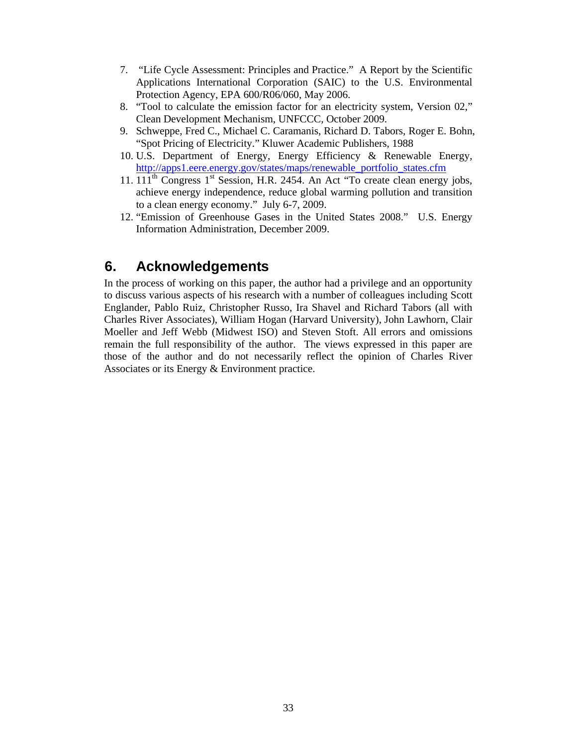- 7. "Life Cycle Assessment: Principles and Practice." A Report by the Scientific Applications International Corporation (SAIC) to the U.S. Environmental Protection Agency, EPA 600/R06/060, May 2006.
- 8. "Tool to calculate the emission factor for an electricity system, Version 02," Clean Development Mechanism, UNFCCC, October 2009.
- 9. Schweppe, Fred C., Michael C. Caramanis, Richard D. Tabors, Roger E. Bohn, "Spot Pricing of Electricity." Kluwer Academic Publishers, 1988
- 10. U.S. Department of Energy, Energy Efficiency & Renewable Energy, http://apps1.eere.energy.gov/states/maps/renewable\_portfolio\_states.cfm
- 11.  $111<sup>th</sup>$  Congress  $1<sup>st</sup>$  Session, H.R. 2454. An Act "To create clean energy jobs, achieve energy independence, reduce global warming pollution and transition to a clean energy economy." July 6-7, 2009.
- 12. "Emission of Greenhouse Gases in the United States 2008." U.S. Energy Information Administration, December 2009.

# **6. Acknowledgements**

In the process of working on this paper, the author had a privilege and an opportunity to discuss various aspects of his research with a number of colleagues including Scott Englander, Pablo Ruiz, Christopher Russo, Ira Shavel and Richard Tabors (all with Charles River Associates), William Hogan (Harvard University), John Lawhorn, Clair Moeller and Jeff Webb (Midwest ISO) and Steven Stoft. All errors and omissions remain the full responsibility of the author. The views expressed in this paper are those of the author and do not necessarily reflect the opinion of Charles River Associates or its Energy & Environment practice.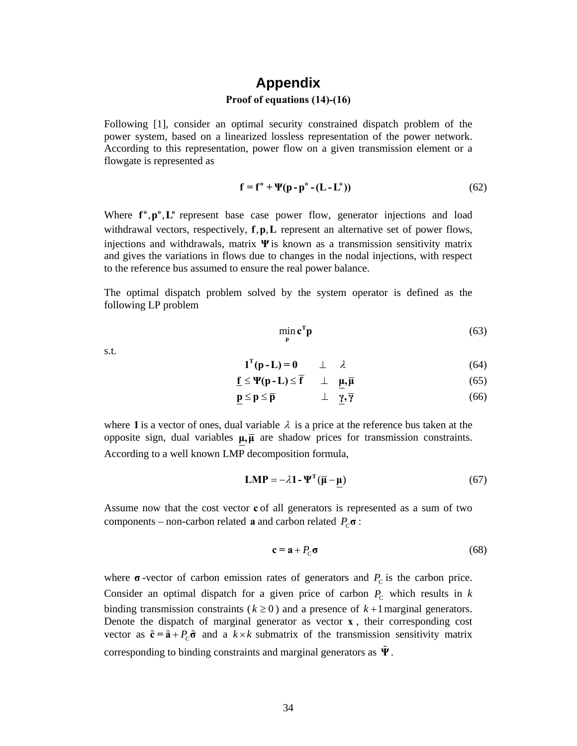## **Appendix Proof of equations (14)-(16)**

Following [1], consider an optimal security constrained dispatch problem of the power system, based on a linearized lossless representation of the power network. According to this representation, power flow on a given transmission element or a flowgate is represented as

$$
\mathbf{f} = \mathbf{f}^{\circ} + \Psi(\mathbf{p} - \mathbf{p}^{\circ} - (\mathbf{L} - \mathbf{L}^{\circ}))
$$
 (62)

Where  $f^{\circ}, p^{\circ}, L^{\circ}$  represent base case power flow, generator injections and load withdrawal vectors, respectively,  $f, p, L$  represent an alternative set of power flows, injections and withdrawals, matrix **Ψ** is known as a transmission sensitivity matrix and gives the variations in flows due to changes in the nodal injections, with respect to the reference bus assumed to ensure the real power balance.

The optimal dispatch problem solved by the system operator is defined as the following LP problem

$$
\min_{\mathbf{p}} \mathbf{c}^{\mathrm{T}} \mathbf{p} \tag{63}
$$

s.t.

$$
\mathbf{1}^{\mathrm{T}}(\mathbf{p} - \mathbf{L}) = \mathbf{0} \qquad \perp \qquad \lambda \tag{64}
$$

$$
\underline{\mathbf{f}} \le \Psi(\mathbf{p} - \mathbf{L}) \le \overline{\mathbf{f}} \qquad \perp \quad \underline{\mathbf{\mu}}, \overline{\mathbf{\mu}} \tag{65}
$$

$$
\underline{\mathbf{p}} \le \mathbf{p} \le \overline{\mathbf{p}} \qquad \qquad \perp \quad \underline{\gamma}, \overline{\gamma} \tag{66}
$$

where 1 is a vector of ones, dual variable  $\lambda$  is a price at the reference bus taken at the opposite sign, dual variables  $\mu$ ,  $\bar{\mu}$  are shadow prices for transmission constraints. According to a well known LMP decomposition formula,

$$
LMP = -\lambda \mathbf{1} - \Psi^{\mathrm{T}} (\overline{\mu} - \mu)
$$
 (67)

Assume now that the cost vector **c** of all generators is represented as a sum of two components – non-carbon related **a** and carbon related  $P_C \sigma$ :

$$
\mathbf{c} = \mathbf{a} + P_c \mathbf{\sigma} \tag{68}
$$

where  $\sigma$ -vector of carbon emission rates of generators and  $P_c$  is the carbon price. Consider an optimal dispatch for a given price of carbon  $P_c$  which results in  $k$ binding transmission constraints ( $k \ge 0$ ) and a presence of  $k+1$  marginal generators. Denote the dispatch of marginal generator as vector **x** , their corresponding cost vector as  $\tilde{\mathbf{c}} = \tilde{\mathbf{a}} + P_c \tilde{\mathbf{\sigma}}$  and a  $k \times k$  submatrix of the transmission sensitivity matrix corresponding to binding constraints and marginal generators as **Ψ** .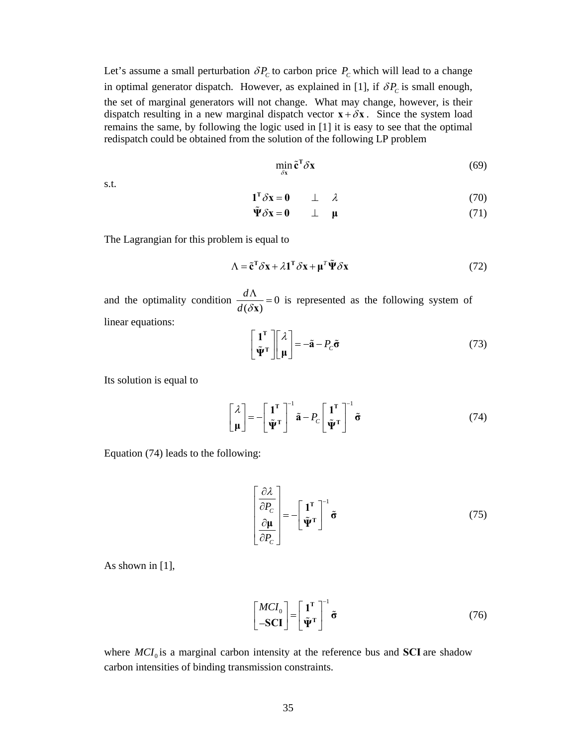Let's assume a small perturbation  $\delta P_c$  to carbon price  $P_c$  which will lead to a change in optimal generator dispatch. However, as explained in [1], if  $\delta P_c$  is small enough, the set of marginal generators will not change. What may change, however, is their dispatch resulting in a new marginal dispatch vector  $\mathbf{x} + \delta \mathbf{x}$ . Since the system load remains the same, by following the logic used in [1] it is easy to see that the optimal redispatch could be obtained from the solution of the following LP problem

$$
\min_{\delta \mathbf{x}} \tilde{\mathbf{c}}^{\mathrm{T}} \delta \mathbf{x} \tag{69}
$$

s.t.

$$
\mathbf{1}^{\mathrm{T}} \delta \mathbf{x} = \mathbf{0} \qquad \perp \quad \lambda \tag{70}
$$

$$
\tilde{\Psi}\delta x = 0 \qquad \perp \quad \mu \tag{71}
$$

The Lagrangian for this problem is equal to

$$
\Lambda = \tilde{\mathbf{c}}^{\mathrm{T}} \delta \mathbf{x} + \lambda \mathbf{1}^{\mathrm{T}} \delta \mathbf{x} + \mu^{\mathrm{T}} \tilde{\mathbf{\Psi}} \delta \mathbf{x}
$$
(72)

and the optimality condition  $\frac{a_{11}}{a_{12}} = 0$  $(\delta x)$ *d*  $\frac{d\Lambda}{d(\delta x)} = 0$  is represented as the following system of linear equations:

$$
\begin{bmatrix} \mathbf{1}^{\mathrm{T}} \\ \tilde{\mathbf{\Psi}}^{\mathrm{T}} \end{bmatrix} \begin{bmatrix} \lambda \\ \mathbf{\mu} \end{bmatrix} = -\tilde{\mathbf{a}} - P_c \tilde{\mathbf{\sigma}} \tag{73}
$$

Its solution is equal to

$$
\begin{bmatrix} \lambda \\ \boldsymbol{\mu} \end{bmatrix} = -\begin{bmatrix} \mathbf{1}^{\mathrm{T}} \\ \tilde{\mathbf{\Psi}}^{\mathrm{T}} \end{bmatrix}^{-1} \tilde{\mathbf{a}} - P_c \begin{bmatrix} \mathbf{1}^{\mathrm{T}} \\ \tilde{\mathbf{\Psi}}^{\mathrm{T}} \end{bmatrix}^{-1} \tilde{\mathbf{\sigma}}
$$
(74)

Equation (74) leads to the following:

$$
\begin{bmatrix}\n\frac{\partial \lambda}{\partial P_C} \\
\frac{\partial \mu}{\partial P_C}\n\end{bmatrix} = -\begin{bmatrix} \mathbf{1}^{\mathrm{T}} \\ \tilde{\mathbf{\Psi}}^{\mathrm{T}} \end{bmatrix}^{-1} \tilde{\mathbf{\sigma}}
$$
\n(75)

As shown in [1],

$$
\begin{bmatrix} MCI_0 \\ -\text{SCI} \end{bmatrix} = \begin{bmatrix} \mathbf{1}^{\mathrm{T}} \\ \tilde{\mathbf{\Psi}}^{\mathrm{T}} \end{bmatrix}^{-1} \tilde{\sigma}
$$
(76)

where  $MCI_0$  is a marginal carbon intensity at the reference bus and **SCI** are shadow carbon intensities of binding transmission constraints.